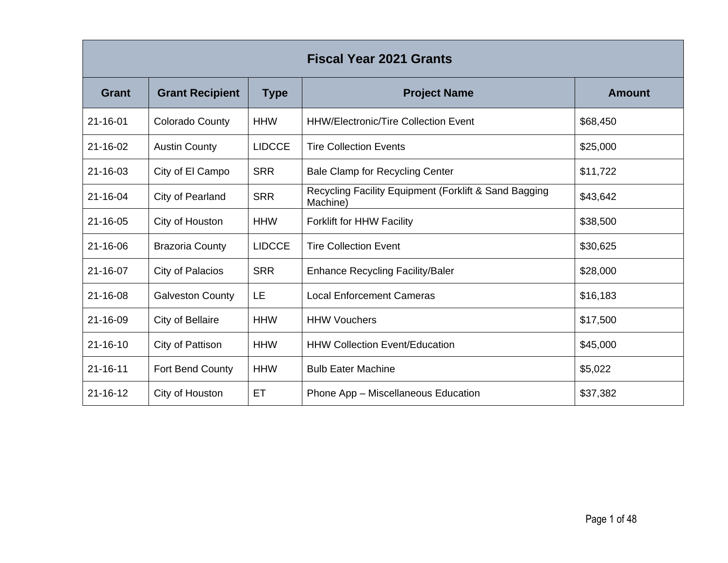| <b>Fiscal Year 2021 Grants</b> |                         |               |                                                                   |               |  |
|--------------------------------|-------------------------|---------------|-------------------------------------------------------------------|---------------|--|
| <b>Grant</b>                   | <b>Grant Recipient</b>  | <b>Type</b>   | <b>Project Name</b>                                               | <b>Amount</b> |  |
| $21 - 16 - 01$                 | <b>Colorado County</b>  | <b>HHW</b>    | <b>HHW/Electronic/Tire Collection Event</b>                       | \$68,450      |  |
| 21-16-02                       | <b>Austin County</b>    | <b>LIDCCE</b> | <b>Tire Collection Events</b>                                     | \$25,000      |  |
| 21-16-03                       | City of El Campo        | <b>SRR</b>    | <b>Bale Clamp for Recycling Center</b>                            | \$11,722      |  |
| 21-16-04                       | City of Pearland        | <b>SRR</b>    | Recycling Facility Equipment (Forklift & Sand Bagging<br>Machine) | \$43,642      |  |
| $21 - 16 - 05$                 | City of Houston         | <b>HHW</b>    | <b>Forklift for HHW Facility</b>                                  | \$38,500      |  |
| 21-16-06                       | <b>Brazoria County</b>  | <b>LIDCCE</b> | <b>Tire Collection Event</b>                                      | \$30,625      |  |
| 21-16-07                       | City of Palacios        | <b>SRR</b>    | Enhance Recycling Facility/Baler                                  | \$28,000      |  |
| 21-16-08                       | <b>Galveston County</b> | LE            | <b>Local Enforcement Cameras</b>                                  | \$16,183      |  |
| 21-16-09                       | City of Bellaire        | <b>HHW</b>    | <b>HHW Vouchers</b>                                               | \$17,500      |  |
| $21 - 16 - 10$                 | City of Pattison        | <b>HHW</b>    | <b>HHW Collection Event/Education</b>                             | \$45,000      |  |
| $21 - 16 - 11$                 | Fort Bend County        | <b>HHW</b>    | <b>Bulb Eater Machine</b>                                         | \$5,022       |  |
| $21 - 16 - 12$                 | City of Houston         | ET            | Phone App - Miscellaneous Education                               | \$37,382      |  |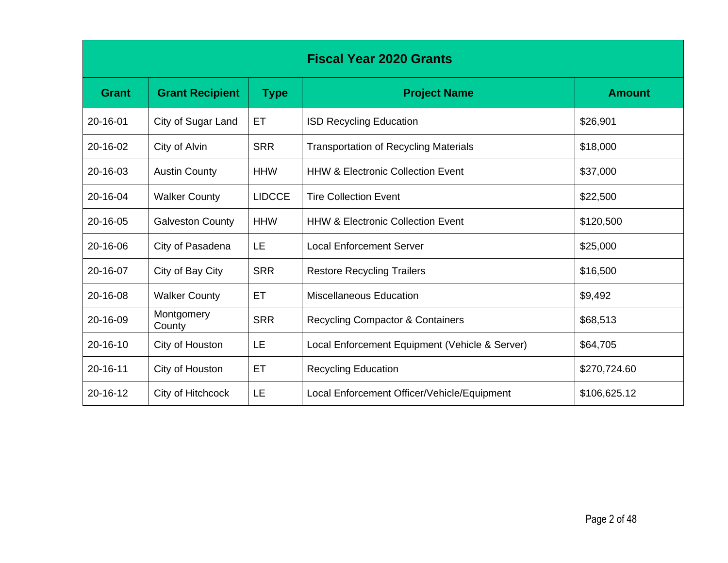| <b>Fiscal Year 2020 Grants</b> |                         |               |                                                |               |
|--------------------------------|-------------------------|---------------|------------------------------------------------|---------------|
| <b>Grant</b>                   | <b>Grant Recipient</b>  | <b>Type</b>   | <b>Project Name</b>                            | <b>Amount</b> |
| 20-16-01                       | City of Sugar Land      | ET            | <b>ISD Recycling Education</b>                 | \$26,901      |
| 20-16-02                       | City of Alvin           | <b>SRR</b>    | <b>Transportation of Recycling Materials</b>   | \$18,000      |
| 20-16-03                       | <b>Austin County</b>    | <b>HHW</b>    | <b>HHW &amp; Electronic Collection Event</b>   | \$37,000      |
| 20-16-04                       | <b>Walker County</b>    | <b>LIDCCE</b> | <b>Tire Collection Event</b>                   | \$22,500      |
| 20-16-05                       | <b>Galveston County</b> | <b>HHW</b>    | <b>HHW &amp; Electronic Collection Event</b>   | \$120,500     |
| 20-16-06                       | City of Pasadena        | LE            | <b>Local Enforcement Server</b>                | \$25,000      |
| 20-16-07                       | City of Bay City        | <b>SRR</b>    | <b>Restore Recycling Trailers</b>              | \$16,500      |
| 20-16-08                       | <b>Walker County</b>    | ET            | <b>Miscellaneous Education</b>                 | \$9,492       |
| 20-16-09                       | Montgomery<br>County    | <b>SRR</b>    | <b>Recycling Compactor &amp; Containers</b>    | \$68,513      |
| 20-16-10                       | City of Houston         | LE            | Local Enforcement Equipment (Vehicle & Server) | \$64,705      |
| $20 - 16 - 11$                 | City of Houston         | ET            | <b>Recycling Education</b>                     | \$270,724.60  |
| 20-16-12                       | City of Hitchcock       | LE            | Local Enforcement Officer/Vehicle/Equipment    | \$106,625.12  |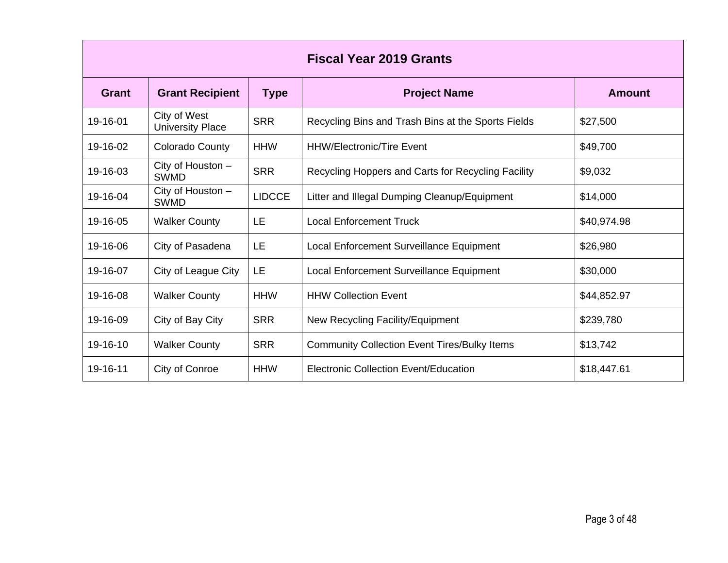| <b>Fiscal Year 2019 Grants</b> |                                         |               |                                                     |               |  |
|--------------------------------|-----------------------------------------|---------------|-----------------------------------------------------|---------------|--|
| <b>Grant</b>                   | <b>Grant Recipient</b>                  | <b>Type</b>   | <b>Project Name</b>                                 | <b>Amount</b> |  |
| 19-16-01                       | City of West<br><b>University Place</b> | <b>SRR</b>    | Recycling Bins and Trash Bins at the Sports Fields  | \$27,500      |  |
| 19-16-02                       | Colorado County                         | <b>HHW</b>    | <b>HHW/Electronic/Tire Event</b>                    | \$49,700      |  |
| 19-16-03                       | City of Houston -<br><b>SWMD</b>        | <b>SRR</b>    | Recycling Hoppers and Carts for Recycling Facility  | \$9,032       |  |
| 19-16-04                       | City of Houston -<br><b>SWMD</b>        | <b>LIDCCE</b> | Litter and Illegal Dumping Cleanup/Equipment        | \$14,000      |  |
| 19-16-05                       | <b>Walker County</b>                    | LE            | <b>Local Enforcement Truck</b>                      | \$40,974.98   |  |
| 19-16-06                       | City of Pasadena                        | LE            | Local Enforcement Surveillance Equipment            | \$26,980      |  |
| 19-16-07                       | City of League City                     | LE            | Local Enforcement Surveillance Equipment            | \$30,000      |  |
| 19-16-08                       | <b>Walker County</b>                    | <b>HHW</b>    | <b>HHW Collection Event</b>                         | \$44,852.97   |  |
| 19-16-09                       | City of Bay City                        | <b>SRR</b>    | New Recycling Facility/Equipment                    | \$239,780     |  |
| 19-16-10                       | <b>Walker County</b>                    | <b>SRR</b>    | <b>Community Collection Event Tires/Bulky Items</b> | \$13,742      |  |
| 19-16-11                       | City of Conroe                          | <b>HHW</b>    | Electronic Collection Event/Education               | \$18,447.61   |  |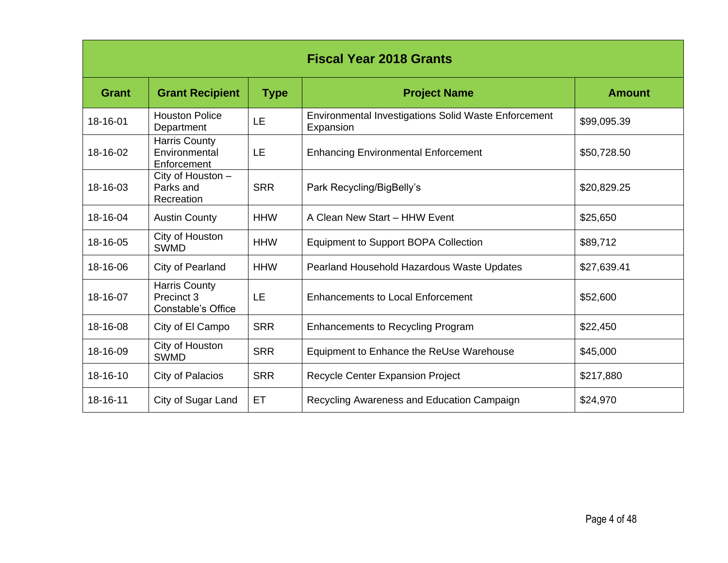| <b>Fiscal Year 2018 Grants</b> |                                                                 |             |                                                                          |               |
|--------------------------------|-----------------------------------------------------------------|-------------|--------------------------------------------------------------------------|---------------|
| <b>Grant</b>                   | <b>Grant Recipient</b>                                          | <b>Type</b> | <b>Project Name</b>                                                      | <b>Amount</b> |
| 18-16-01                       | <b>Houston Police</b><br>Department                             | LE          | <b>Environmental Investigations Solid Waste Enforcement</b><br>Expansion | \$99,095.39   |
| 18-16-02                       | <b>Harris County</b><br>Environmental<br>Enforcement            | LE          | <b>Enhancing Environmental Enforcement</b>                               | \$50,728.50   |
| 18-16-03                       | $\overline{C}$ ity of Houston -<br>Parks and<br>Recreation      | <b>SRR</b>  | Park Recycling/BigBelly's                                                | \$20,829.25   |
| 18-16-04                       | <b>Austin County</b>                                            | <b>HHW</b>  | A Clean New Start - HHW Event                                            | \$25,650      |
| 18-16-05                       | City of Houston<br><b>SWMD</b>                                  | <b>HHW</b>  | <b>Equipment to Support BOPA Collection</b>                              | \$89,712      |
| 18-16-06                       | City of Pearland                                                | <b>HHW</b>  | Pearland Household Hazardous Waste Updates                               | \$27,639.41   |
| 18-16-07                       | <b>Harris County</b><br>Precinct 3<br><b>Constable's Office</b> | LE          | <b>Enhancements to Local Enforcement</b>                                 | \$52,600      |
| 18-16-08                       | City of El Campo                                                | <b>SRR</b>  | <b>Enhancements to Recycling Program</b>                                 | \$22,450      |
| 18-16-09                       | City of Houston<br><b>SWMD</b>                                  | <b>SRR</b>  | Equipment to Enhance the ReUse Warehouse                                 | \$45,000      |
| 18-16-10                       | City of Palacios                                                | <b>SRR</b>  | Recycle Center Expansion Project                                         | \$217,880     |
| 18-16-11                       | City of Sugar Land                                              | ET          | Recycling Awareness and Education Campaign                               | \$24,970      |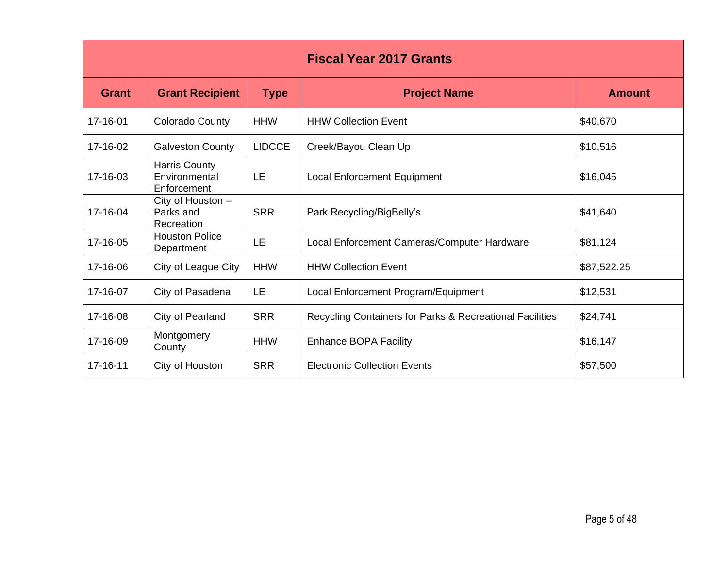| <b>Fiscal Year 2017 Grants</b> |                                                      |               |                                                          |               |
|--------------------------------|------------------------------------------------------|---------------|----------------------------------------------------------|---------------|
| <b>Grant</b>                   | <b>Grant Recipient</b>                               | <b>Type</b>   | <b>Project Name</b>                                      | <b>Amount</b> |
| 17-16-01                       | <b>Colorado County</b>                               | <b>HHW</b>    | <b>HHW Collection Event</b>                              | \$40,670      |
| 17-16-02                       | <b>Galveston County</b>                              | <b>LIDCCE</b> | Creek/Bayou Clean Up                                     | \$10,516      |
| 17-16-03                       | <b>Harris County</b><br>Environmental<br>Enforcement | LE            | <b>Local Enforcement Equipment</b>                       | \$16,045      |
| 17-16-04                       | City of Houston -<br>Parks and<br>Recreation         | <b>SRR</b>    | Park Recycling/BigBelly's                                | \$41,640      |
| 17-16-05                       | <b>Houston Police</b><br>Department                  | LE            | Local Enforcement Cameras/Computer Hardware              | \$81,124      |
| 17-16-06                       | City of League City                                  | <b>HHW</b>    | <b>HHW Collection Event</b>                              | \$87,522.25   |
| 17-16-07                       | City of Pasadena                                     | LE            | Local Enforcement Program/Equipment                      | \$12,531      |
| 17-16-08                       | City of Pearland                                     | <b>SRR</b>    | Recycling Containers for Parks & Recreational Facilities | \$24,741      |
| 17-16-09                       | Montgomery<br>County                                 | <b>HHW</b>    | <b>Enhance BOPA Facility</b>                             | \$16,147      |
| 17-16-11                       | City of Houston                                      | <b>SRR</b>    | <b>Electronic Collection Events</b>                      | \$57,500      |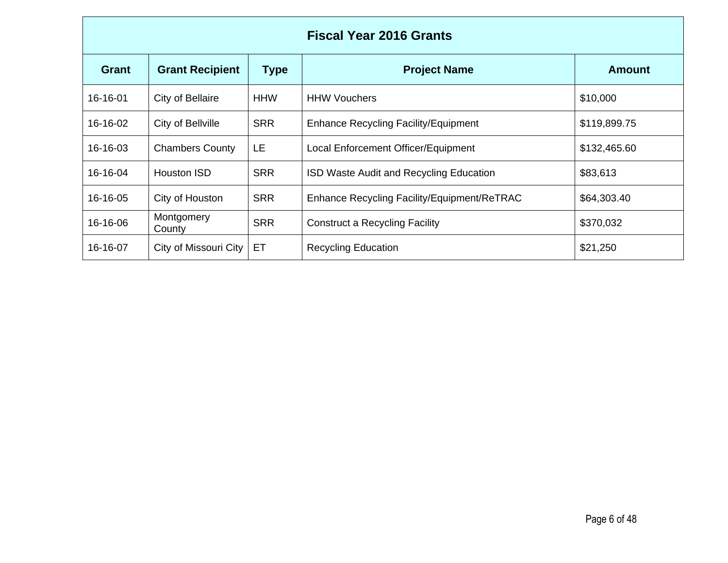| <b>Fiscal Year 2016 Grants</b> |                        |             |                                             |               |
|--------------------------------|------------------------|-------------|---------------------------------------------|---------------|
| <b>Grant</b>                   | <b>Grant Recipient</b> | <b>Type</b> | <b>Project Name</b>                         | <b>Amount</b> |
| 16-16-01                       | City of Bellaire       | <b>HHW</b>  | <b>HHW Vouchers</b>                         | \$10,000      |
| 16-16-02                       | City of Bellville      | <b>SRR</b>  | <b>Enhance Recycling Facility/Equipment</b> | \$119,899.75  |
| 16-16-03                       | <b>Chambers County</b> | LE          | Local Enforcement Officer/Equipment         | \$132,465.60  |
| 16-16-04                       | Houston ISD            | <b>SRR</b>  | ISD Waste Audit and Recycling Education     | \$83,613      |
| 16-16-05                       | City of Houston        | <b>SRR</b>  | Enhance Recycling Facility/Equipment/ReTRAC | \$64,303.40   |
| 16-16-06                       | Montgomery<br>County   | <b>SRR</b>  | <b>Construct a Recycling Facility</b>       | \$370,032     |
| 16-16-07                       | City of Missouri City  | ET          | <b>Recycling Education</b>                  | \$21,250      |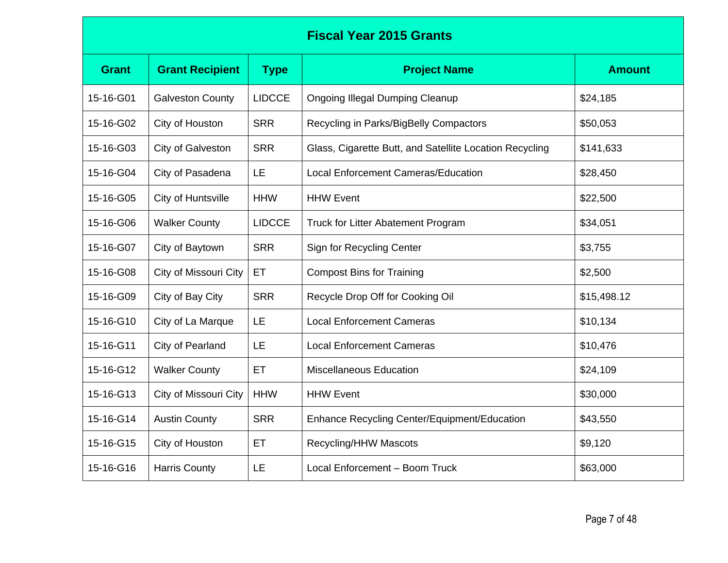## **Fiscal Year 2015 Grants**

| <b>Grant</b> | <b>Grant Recipient</b>  | <b>Type</b>   | <b>Project Name</b>                                     | <b>Amount</b> |
|--------------|-------------------------|---------------|---------------------------------------------------------|---------------|
| 15-16-G01    | <b>Galveston County</b> | <b>LIDCCE</b> | <b>Ongoing Illegal Dumping Cleanup</b>                  | \$24,185      |
| 15-16-G02    | City of Houston         | <b>SRR</b>    | Recycling in Parks/BigBelly Compactors                  | \$50,053      |
| 15-16-G03    | City of Galveston       | <b>SRR</b>    | Glass, Cigarette Butt, and Satellite Location Recycling | \$141,633     |
| 15-16-G04    | City of Pasadena        | LE            | <b>Local Enforcement Cameras/Education</b>              | \$28,450      |
| 15-16-G05    | City of Huntsville      | <b>HHW</b>    | <b>HHW Event</b>                                        | \$22,500      |
| 15-16-G06    | <b>Walker County</b>    | <b>LIDCCE</b> | Truck for Litter Abatement Program                      | \$34,051      |
| 15-16-G07    | City of Baytown         | <b>SRR</b>    | Sign for Recycling Center                               | \$3,755       |
| 15-16-G08    | City of Missouri City   | ET            | <b>Compost Bins for Training</b>                        | \$2,500       |
| 15-16-G09    | City of Bay City        | <b>SRR</b>    | Recycle Drop Off for Cooking Oil                        | \$15,498.12   |
| 15-16-G10    | City of La Marque       | LE            | <b>Local Enforcement Cameras</b>                        | \$10,134      |
| 15-16-G11    | City of Pearland        | LE            | <b>Local Enforcement Cameras</b>                        | \$10,476      |
| 15-16-G12    | <b>Walker County</b>    | ET            | <b>Miscellaneous Education</b>                          | \$24,109      |
| 15-16-G13    | City of Missouri City   | <b>HHW</b>    | <b>HHW Event</b>                                        | \$30,000      |
| 15-16-G14    | <b>Austin County</b>    | <b>SRR</b>    | <b>Enhance Recycling Center/Equipment/Education</b>     | \$43,550      |
| 15-16-G15    | City of Houston         | ET            | Recycling/HHW Mascots                                   | \$9,120       |
| 15-16-G16    | <b>Harris County</b>    | LE            | Local Enforcement - Boom Truck                          | \$63,000      |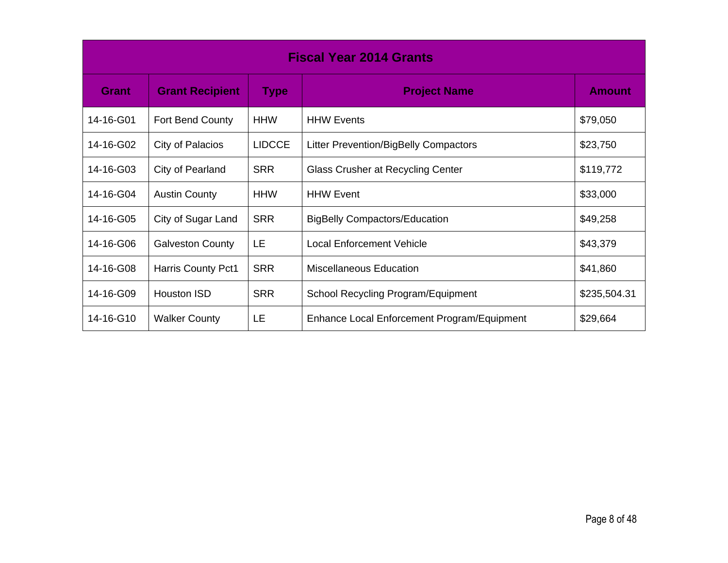| <b>Fiscal Year 2014 Grants</b> |                           |               |                                             |               |
|--------------------------------|---------------------------|---------------|---------------------------------------------|---------------|
| <b>Grant</b>                   | <b>Grant Recipient</b>    | <b>Type</b>   | <b>Project Name</b>                         | <b>Amount</b> |
| 14-16-G01                      | Fort Bend County          | <b>HHW</b>    | <b>HHW Events</b>                           | \$79,050      |
| 14-16-G02                      | City of Palacios          | <b>LIDCCE</b> | Litter Prevention/BigBelly Compactors       | \$23,750      |
| 14-16-G03                      | City of Pearland          | <b>SRR</b>    | Glass Crusher at Recycling Center           | \$119,772     |
| 14-16-G04                      | <b>Austin County</b>      | <b>HHW</b>    | <b>HHW Event</b>                            | \$33,000      |
| 14-16-G05                      | City of Sugar Land        | <b>SRR</b>    | <b>BigBelly Compactors/Education</b>        | \$49,258      |
| 14-16-G06                      | <b>Galveston County</b>   | LE            | Local Enforcement Vehicle                   | \$43,379      |
| 14-16-G08                      | <b>Harris County Pct1</b> | <b>SRR</b>    | <b>Miscellaneous Education</b>              | \$41,860      |
| 14-16-G09                      | Houston ISD               | <b>SRR</b>    | School Recycling Program/Equipment          | \$235,504.31  |
| 14-16-G10                      | <b>Walker County</b>      | LE            | Enhance Local Enforcement Program/Equipment | \$29,664      |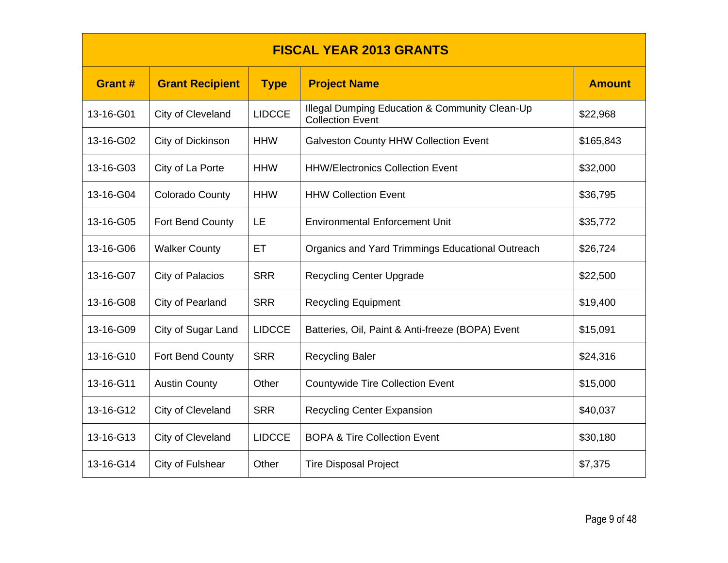| <b>FISCAL YEAR 2013 GRANTS</b> |                        |               |                                                                           |               |  |
|--------------------------------|------------------------|---------------|---------------------------------------------------------------------------|---------------|--|
| <b>Grant#</b>                  | <b>Grant Recipient</b> | <b>Type</b>   | <b>Project Name</b>                                                       | <b>Amount</b> |  |
| 13-16-G01                      | City of Cleveland      | <b>LIDCCE</b> | Illegal Dumping Education & Community Clean-Up<br><b>Collection Event</b> | \$22,968      |  |
| 13-16-G02                      | City of Dickinson      | <b>HHW</b>    | <b>Galveston County HHW Collection Event</b>                              | \$165,843     |  |
| 13-16-G03                      | City of La Porte       | <b>HHW</b>    | <b>HHW/Electronics Collection Event</b>                                   | \$32,000      |  |
| 13-16-G04                      | <b>Colorado County</b> | <b>HHW</b>    | <b>HHW Collection Event</b>                                               | \$36,795      |  |
| 13-16-G05                      | Fort Bend County       | LE            | <b>Environmental Enforcement Unit</b>                                     | \$35,772      |  |
| 13-16-G06                      | <b>Walker County</b>   | ET            | Organics and Yard Trimmings Educational Outreach                          | \$26,724      |  |
| 13-16-G07                      | City of Palacios       | <b>SRR</b>    | <b>Recycling Center Upgrade</b>                                           | \$22,500      |  |
| 13-16-G08                      | City of Pearland       | <b>SRR</b>    | <b>Recycling Equipment</b>                                                | \$19,400      |  |
| 13-16-G09                      | City of Sugar Land     | <b>LIDCCE</b> | Batteries, Oil, Paint & Anti-freeze (BOPA) Event                          | \$15,091      |  |
| 13-16-G10                      | Fort Bend County       | <b>SRR</b>    | <b>Recycling Baler</b>                                                    | \$24,316      |  |
| 13-16-G11                      | <b>Austin County</b>   | Other         | <b>Countywide Tire Collection Event</b>                                   | \$15,000      |  |
| 13-16-G12                      | City of Cleveland      | <b>SRR</b>    | <b>Recycling Center Expansion</b>                                         | \$40,037      |  |
| 13-16-G13                      | City of Cleveland      | <b>LIDCCE</b> | <b>BOPA &amp; Tire Collection Event</b>                                   | \$30,180      |  |
| 13-16-G14                      | City of Fulshear       | Other         | <b>Tire Disposal Project</b>                                              | \$7,375       |  |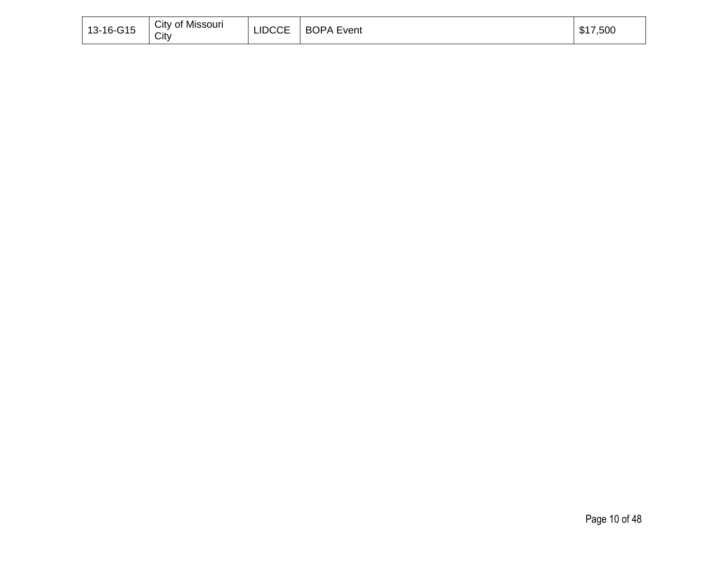| 13-16-G15 | City of Missouri<br>City |  | LIDCCE   BOPA Event | \$17,500 |
|-----------|--------------------------|--|---------------------|----------|
|-----------|--------------------------|--|---------------------|----------|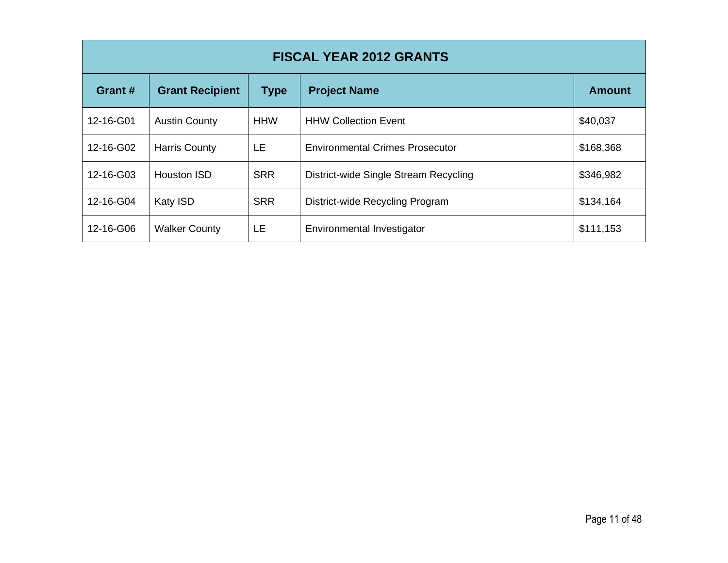| <b>FISCAL YEAR 2012 GRANTS</b> |                        |             |                                        |               |  |
|--------------------------------|------------------------|-------------|----------------------------------------|---------------|--|
| Grant #                        | <b>Grant Recipient</b> | <b>Type</b> | <b>Project Name</b>                    | <b>Amount</b> |  |
| 12-16-G01                      | <b>Austin County</b>   | <b>HHW</b>  | <b>HHW Collection Event</b>            | \$40,037      |  |
| 12-16-G02                      | <b>Harris County</b>   | LE.         | <b>Environmental Crimes Prosecutor</b> | \$168,368     |  |
| 12-16-G03                      | <b>Houston ISD</b>     | <b>SRR</b>  | District-wide Single Stream Recycling  | \$346,982     |  |
| 12-16-G04                      | Katy ISD               | <b>SRR</b>  | District-wide Recycling Program        | \$134,164     |  |
| 12-16-G06                      | <b>Walker County</b>   | LE.         | Environmental Investigator             | \$111,153     |  |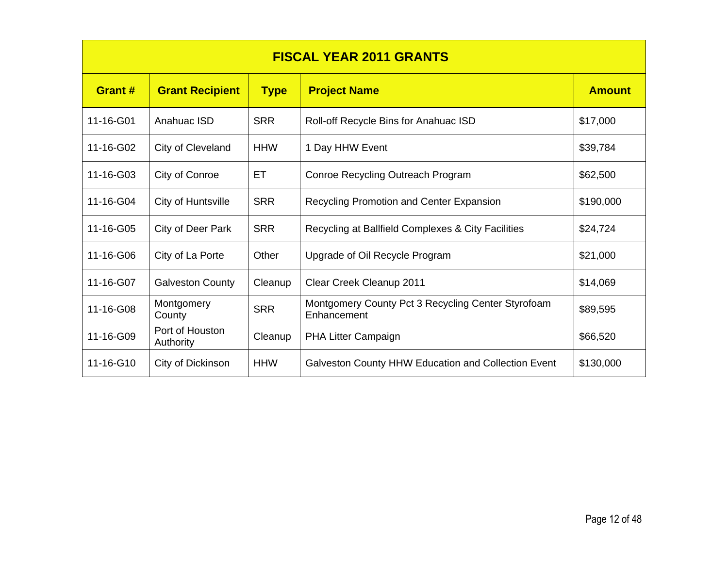| <b>FISCAL YEAR 2011 GRANTS</b> |                              |             |                                                                   |               |  |
|--------------------------------|------------------------------|-------------|-------------------------------------------------------------------|---------------|--|
| <b>Grant#</b>                  | <b>Grant Recipient</b>       | <b>Type</b> | <b>Project Name</b>                                               | <b>Amount</b> |  |
| 11-16-G01                      | Anahuac ISD                  | <b>SRR</b>  | Roll-off Recycle Bins for Anahuac ISD                             | \$17,000      |  |
| 11-16-G02                      | City of Cleveland            | <b>HHW</b>  | 1 Day HHW Event                                                   | \$39,784      |  |
| 11-16-G03                      | City of Conroe               | ET          | Conroe Recycling Outreach Program                                 | \$62,500      |  |
| 11-16-G04                      | City of Huntsville           | <b>SRR</b>  | <b>Recycling Promotion and Center Expansion</b>                   | \$190,000     |  |
| 11-16-G05                      | City of Deer Park            | <b>SRR</b>  | Recycling at Ballfield Complexes & City Facilities                | \$24,724      |  |
| 11-16-G06                      | City of La Porte             | Other       | Upgrade of Oil Recycle Program                                    | \$21,000      |  |
| 11-16-G07                      | <b>Galveston County</b>      | Cleanup     | Clear Creek Cleanup 2011                                          | \$14,069      |  |
| 11-16-G08                      | Montgomery<br>County         | <b>SRR</b>  | Montgomery County Pct 3 Recycling Center Styrofoam<br>Enhancement | \$89,595      |  |
| 11-16-G09                      | Port of Houston<br>Authority | Cleanup     | PHA Litter Campaign                                               | \$66,520      |  |
| 11-16-G10                      | City of Dickinson            | <b>HHW</b>  | Galveston County HHW Education and Collection Event               | \$130,000     |  |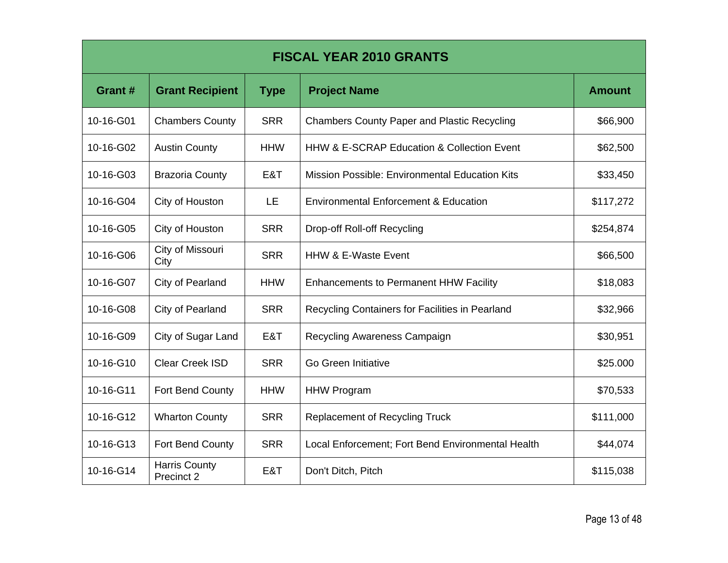| <b>FISCAL YEAR 2010 GRANTS</b> |                                    |             |                                                    |               |  |
|--------------------------------|------------------------------------|-------------|----------------------------------------------------|---------------|--|
| Grant #                        | <b>Grant Recipient</b>             | <b>Type</b> | <b>Project Name</b>                                | <b>Amount</b> |  |
| 10-16-G01                      | <b>Chambers County</b>             | <b>SRR</b>  | <b>Chambers County Paper and Plastic Recycling</b> | \$66,900      |  |
| 10-16-G02                      | <b>Austin County</b>               | <b>HHW</b>  | HHW & E-SCRAP Education & Collection Event         | \$62,500      |  |
| 10-16-G03                      | <b>Brazoria County</b>             | E&T         | Mission Possible: Environmental Education Kits     | \$33,450      |  |
| 10-16-G04                      | City of Houston                    | LE          | <b>Environmental Enforcement &amp; Education</b>   | \$117,272     |  |
| 10-16-G05                      | City of Houston                    | <b>SRR</b>  | <b>Drop-off Roll-off Recycling</b>                 | \$254,874     |  |
| 10-16-G06                      | City of Missouri<br>City           | <b>SRR</b>  | <b>HHW &amp; E-Waste Event</b>                     | \$66,500      |  |
| 10-16-G07                      | City of Pearland                   | <b>HHW</b>  | <b>Enhancements to Permanent HHW Facility</b>      | \$18,083      |  |
| 10-16-G08                      | City of Pearland                   | <b>SRR</b>  | Recycling Containers for Facilities in Pearland    | \$32,966      |  |
| 10-16-G09                      | City of Sugar Land                 | E&T         | Recycling Awareness Campaign                       | \$30,951      |  |
| 10-16-G10                      | <b>Clear Creek ISD</b>             | <b>SRR</b>  | Go Green Initiative                                | \$25.000      |  |
| 10-16-G11                      | Fort Bend County                   | <b>HHW</b>  | <b>HHW Program</b>                                 | \$70,533      |  |
| 10-16-G12                      | <b>Wharton County</b>              | <b>SRR</b>  | <b>Replacement of Recycling Truck</b>              | \$111,000     |  |
| 10-16-G13                      | Fort Bend County                   | <b>SRR</b>  | Local Enforcement; Fort Bend Environmental Health  | \$44,074      |  |
| 10-16-G14                      | <b>Harris County</b><br>Precinct 2 | E&T         | Don't Ditch, Pitch                                 | \$115,038     |  |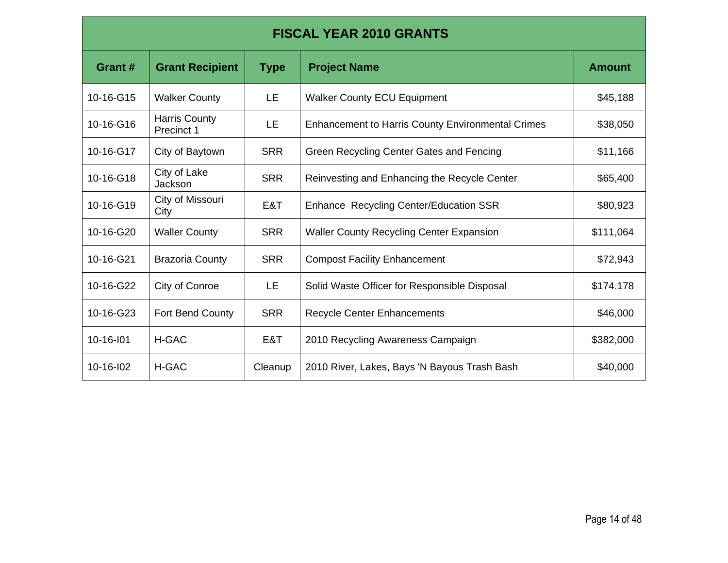| <b>FISCAL YEAR 2010 GRANTS</b> |                                    |             |                                                          |               |  |  |
|--------------------------------|------------------------------------|-------------|----------------------------------------------------------|---------------|--|--|
| Grant #                        | <b>Grant Recipient</b>             | <b>Type</b> | <b>Project Name</b>                                      | <b>Amount</b> |  |  |
| 10-16-G15                      | <b>Walker County</b>               | LE.         | <b>Walker County ECU Equipment</b>                       | \$45,188      |  |  |
| 10-16-G16                      | <b>Harris County</b><br>Precinct 1 | LE.         | <b>Enhancement to Harris County Environmental Crimes</b> | \$38,050      |  |  |
| 10-16-G17                      | City of Baytown                    | <b>SRR</b>  | Green Recycling Center Gates and Fencing                 | \$11,166      |  |  |
| 10-16-G18                      | City of Lake<br>Jackson            | <b>SRR</b>  | Reinvesting and Enhancing the Recycle Center             | \$65,400      |  |  |
| 10-16-G19                      | City of Missouri<br>City           | E&T         | Enhance Recycling Center/Education SSR                   | \$80,923      |  |  |
| 10-16-G20                      | <b>Waller County</b>               | <b>SRR</b>  | <b>Waller County Recycling Center Expansion</b>          | \$111,064     |  |  |
| 10-16-G21                      | <b>Brazoria County</b>             | <b>SRR</b>  | <b>Compost Facility Enhancement</b>                      | \$72,943      |  |  |
| 10-16-G22                      | City of Conroe                     | LE          | Solid Waste Officer for Responsible Disposal             | \$174.178     |  |  |
| 10-16-G23                      | Fort Bend County                   | <b>SRR</b>  | <b>Recycle Center Enhancements</b>                       | \$46,000      |  |  |
| 10-16-101                      | H-GAC                              | E&T         | 2010 Recycling Awareness Campaign                        | \$382,000     |  |  |
| 10-16-102                      | H-GAC                              | Cleanup     | 2010 River, Lakes, Bays 'N Bayous Trash Bash             | \$40,000      |  |  |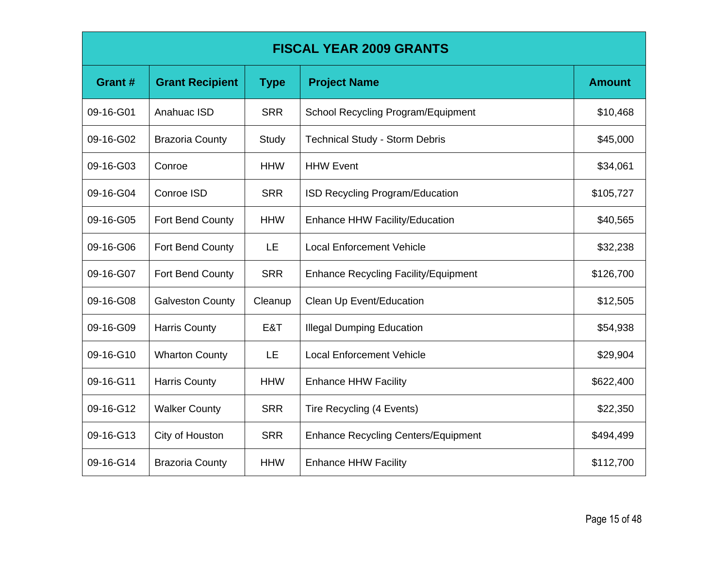| <b>FISCAL YEAR 2009 GRANTS</b> |                         |             |                                             |               |  |
|--------------------------------|-------------------------|-------------|---------------------------------------------|---------------|--|
| Grant#                         | <b>Grant Recipient</b>  | <b>Type</b> | <b>Project Name</b>                         | <b>Amount</b> |  |
| 09-16-G01                      | Anahuac ISD             | <b>SRR</b>  | School Recycling Program/Equipment          | \$10,468      |  |
| 09-16-G02                      | <b>Brazoria County</b>  | Study       | <b>Technical Study - Storm Debris</b>       | \$45,000      |  |
| 09-16-G03                      | Conroe                  | <b>HHW</b>  | <b>HHW Event</b>                            | \$34,061      |  |
| 09-16-G04                      | Conroe ISD              | <b>SRR</b>  | <b>ISD Recycling Program/Education</b>      | \$105,727     |  |
| 09-16-G05                      | Fort Bend County        | <b>HHW</b>  | <b>Enhance HHW Facility/Education</b>       | \$40,565      |  |
| 09-16-G06                      | Fort Bend County        | LE          | <b>Local Enforcement Vehicle</b>            | \$32,238      |  |
| 09-16-G07                      | Fort Bend County        | <b>SRR</b>  | <b>Enhance Recycling Facility/Equipment</b> | \$126,700     |  |
| 09-16-G08                      | <b>Galveston County</b> | Cleanup     | Clean Up Event/Education                    | \$12,505      |  |
| 09-16-G09                      | <b>Harris County</b>    | E&T         | <b>Illegal Dumping Education</b>            | \$54,938      |  |
| 09-16-G10                      | <b>Wharton County</b>   | LE.         | <b>Local Enforcement Vehicle</b>            | \$29,904      |  |
| 09-16-G11                      | <b>Harris County</b>    | <b>HHW</b>  | <b>Enhance HHW Facility</b>                 | \$622,400     |  |
| 09-16-G12                      | <b>Walker County</b>    | <b>SRR</b>  | Tire Recycling (4 Events)                   | \$22,350      |  |
| 09-16-G13                      | City of Houston         | <b>SRR</b>  | <b>Enhance Recycling Centers/Equipment</b>  | \$494,499     |  |
| 09-16-G14                      | <b>Brazoria County</b>  | <b>HHW</b>  | <b>Enhance HHW Facility</b>                 | \$112,700     |  |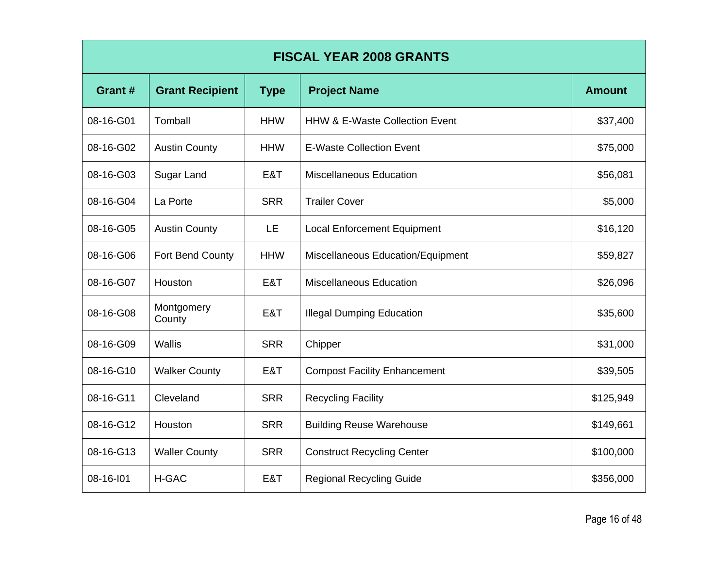| <b>FISCAL YEAR 2008 GRANTS</b> |                        |             |                                           |               |  |
|--------------------------------|------------------------|-------------|-------------------------------------------|---------------|--|
| Grant#                         | <b>Grant Recipient</b> | <b>Type</b> | <b>Project Name</b>                       | <b>Amount</b> |  |
| 08-16-G01                      | Tomball                | <b>HHW</b>  | <b>HHW &amp; E-Waste Collection Event</b> | \$37,400      |  |
| 08-16-G02                      | <b>Austin County</b>   | <b>HHW</b>  | <b>E-Waste Collection Event</b>           | \$75,000      |  |
| 08-16-G03                      | Sugar Land             | E&T         | <b>Miscellaneous Education</b>            | \$56,081      |  |
| 08-16-G04                      | La Porte               | <b>SRR</b>  | <b>Trailer Cover</b>                      | \$5,000       |  |
| 08-16-G05                      | <b>Austin County</b>   | LE          | <b>Local Enforcement Equipment</b>        | \$16,120      |  |
| 08-16-G06                      | Fort Bend County       | <b>HHW</b>  | Miscellaneous Education/Equipment         | \$59,827      |  |
| 08-16-G07                      | Houston                | E&T         | <b>Miscellaneous Education</b>            | \$26,096      |  |
| 08-16-G08                      | Montgomery<br>County   | E&T         | <b>Illegal Dumping Education</b>          | \$35,600      |  |
| 08-16-G09                      | Wallis                 | <b>SRR</b>  | Chipper                                   | \$31,000      |  |
| 08-16-G10                      | <b>Walker County</b>   | E&T         | <b>Compost Facility Enhancement</b>       | \$39,505      |  |
| 08-16-G11                      | Cleveland              | <b>SRR</b>  | <b>Recycling Facility</b>                 | \$125,949     |  |
| 08-16-G12                      | Houston                | <b>SRR</b>  | <b>Building Reuse Warehouse</b>           | \$149,661     |  |
| 08-16-G13                      | <b>Waller County</b>   | <b>SRR</b>  | <b>Construct Recycling Center</b>         | \$100,000     |  |
| 08-16-101                      | H-GAC                  | E&T         | <b>Regional Recycling Guide</b>           | \$356,000     |  |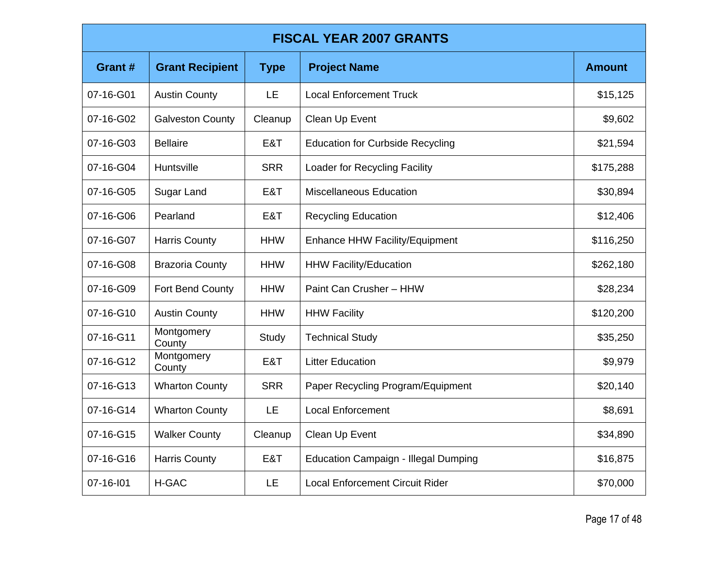| <b>FISCAL YEAR 2007 GRANTS</b> |                         |             |                                             |               |
|--------------------------------|-------------------------|-------------|---------------------------------------------|---------------|
| Grant#                         | <b>Grant Recipient</b>  | <b>Type</b> | <b>Project Name</b>                         | <b>Amount</b> |
| 07-16-G01                      | <b>Austin County</b>    | LE          | <b>Local Enforcement Truck</b>              | \$15,125      |
| 07-16-G02                      | <b>Galveston County</b> | Cleanup     | Clean Up Event                              | \$9,602       |
| 07-16-G03                      | <b>Bellaire</b>         | E&T         | <b>Education for Curbside Recycling</b>     | \$21,594      |
| 07-16-G04                      | Huntsville              | <b>SRR</b>  | Loader for Recycling Facility               | \$175,288     |
| 07-16-G05                      | Sugar Land              | E&T         | <b>Miscellaneous Education</b>              | \$30,894      |
| 07-16-G06                      | Pearland                | E&T         | <b>Recycling Education</b>                  | \$12,406      |
| 07-16-G07                      | <b>Harris County</b>    | <b>HHW</b>  | Enhance HHW Facility/Equipment              | \$116,250     |
| 07-16-G08                      | <b>Brazoria County</b>  | <b>HHW</b>  | <b>HHW Facility/Education</b>               | \$262,180     |
| 07-16-G09                      | Fort Bend County        | <b>HHW</b>  | Paint Can Crusher - HHW                     | \$28,234      |
| 07-16-G10                      | <b>Austin County</b>    | <b>HHW</b>  | <b>HHW Facility</b>                         | \$120,200     |
| 07-16-G11                      | Montgomery<br>County    | Study       | <b>Technical Study</b>                      | \$35,250      |
| 07-16-G12                      | Montgomery<br>County    | E&T         | <b>Litter Education</b>                     | \$9,979       |
| 07-16-G13                      | <b>Wharton County</b>   | <b>SRR</b>  | Paper Recycling Program/Equipment           | \$20,140      |
| 07-16-G14                      | <b>Wharton County</b>   | <b>LE</b>   | <b>Local Enforcement</b>                    | \$8,691       |
| 07-16-G15                      | <b>Walker County</b>    | Cleanup     | Clean Up Event                              | \$34,890      |
| 07-16-G16                      | <b>Harris County</b>    | E&T         | <b>Education Campaign - Illegal Dumping</b> | \$16,875      |
| 07-16-101                      | <b>H-GAC</b>            | LE          | <b>Local Enforcement Circuit Rider</b>      | \$70,000      |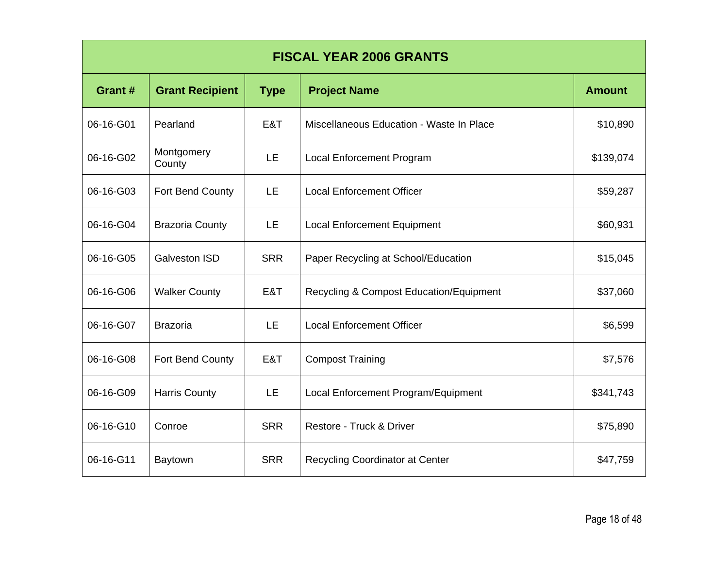| <b>FISCAL YEAR 2006 GRANTS</b> |                        |             |                                                    |               |  |
|--------------------------------|------------------------|-------------|----------------------------------------------------|---------------|--|
| Grant#                         | <b>Grant Recipient</b> | <b>Type</b> | <b>Project Name</b>                                | <b>Amount</b> |  |
| 06-16-G01                      | Pearland               | E&T         | Miscellaneous Education - Waste In Place           | \$10,890      |  |
| 06-16-G02                      | Montgomery<br>County   | LE          | <b>Local Enforcement Program</b>                   | \$139,074     |  |
| 06-16-G03                      | Fort Bend County       | LE          | <b>Local Enforcement Officer</b>                   | \$59,287      |  |
| 06-16-G04                      | <b>Brazoria County</b> | LE          | <b>Local Enforcement Equipment</b>                 | \$60,931      |  |
| 06-16-G05                      | <b>Galveston ISD</b>   | <b>SRR</b>  | Paper Recycling at School/Education                | \$15,045      |  |
| 06-16-G06                      | <b>Walker County</b>   | E&T         | <b>Recycling &amp; Compost Education/Equipment</b> | \$37,060      |  |
| 06-16-G07                      | <b>Brazoria</b>        | <b>LE</b>   | <b>Local Enforcement Officer</b>                   | \$6,599       |  |
| 06-16-G08                      | Fort Bend County       | E&T         | <b>Compost Training</b>                            | \$7,576       |  |
| 06-16-G09                      | <b>Harris County</b>   | LE          | Local Enforcement Program/Equipment                | \$341,743     |  |
| 06-16-G10                      | Conroe                 | <b>SRR</b>  | Restore - Truck & Driver                           | \$75,890      |  |
| 06-16-G11                      | <b>Baytown</b>         | <b>SRR</b>  | Recycling Coordinator at Center                    | \$47,759      |  |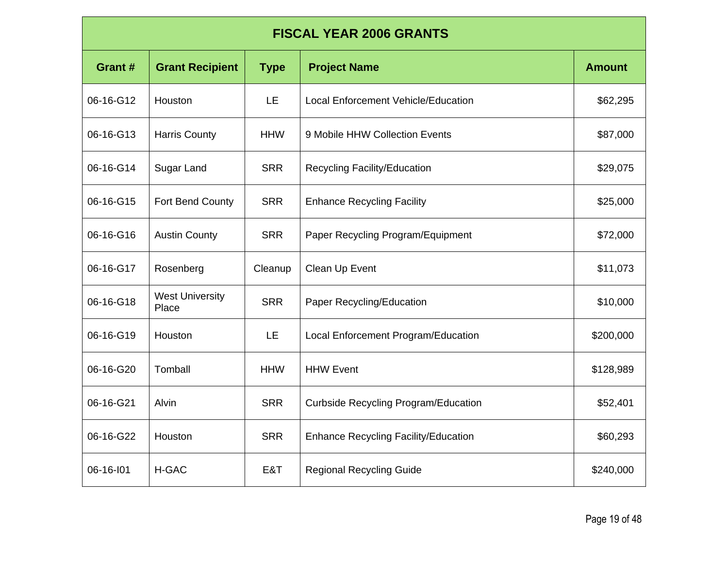| <b>FISCAL YEAR 2006 GRANTS</b> |                                 |             |                                             |               |  |
|--------------------------------|---------------------------------|-------------|---------------------------------------------|---------------|--|
| Grant#                         | <b>Grant Recipient</b>          | <b>Type</b> | <b>Project Name</b>                         | <b>Amount</b> |  |
| 06-16-G12                      | Houston                         | LE          | <b>Local Enforcement Vehicle/Education</b>  | \$62,295      |  |
| 06-16-G13                      | <b>Harris County</b>            | <b>HHW</b>  | 9 Mobile HHW Collection Events              | \$87,000      |  |
| 06-16-G14                      | Sugar Land                      | <b>SRR</b>  | <b>Recycling Facility/Education</b>         | \$29,075      |  |
| 06-16-G15                      | Fort Bend County                | <b>SRR</b>  | <b>Enhance Recycling Facility</b>           | \$25,000      |  |
| 06-16-G16                      | <b>Austin County</b>            | <b>SRR</b>  | Paper Recycling Program/Equipment           | \$72,000      |  |
| 06-16-G17                      | Rosenberg                       | Cleanup     | Clean Up Event                              | \$11,073      |  |
| 06-16-G18                      | <b>West University</b><br>Place | <b>SRR</b>  | Paper Recycling/Education                   | \$10,000      |  |
| 06-16-G19                      | Houston                         | LE          | Local Enforcement Program/Education         | \$200,000     |  |
| 06-16-G20                      | Tomball                         | <b>HHW</b>  | <b>HHW Event</b>                            | \$128,989     |  |
| 06-16-G21                      | Alvin                           | <b>SRR</b>  | <b>Curbside Recycling Program/Education</b> | \$52,401      |  |
| 06-16-G22                      | Houston                         | <b>SRR</b>  | <b>Enhance Recycling Facility/Education</b> | \$60,293      |  |
| 06-16-101                      | H-GAC                           | E&T         | <b>Regional Recycling Guide</b>             | \$240,000     |  |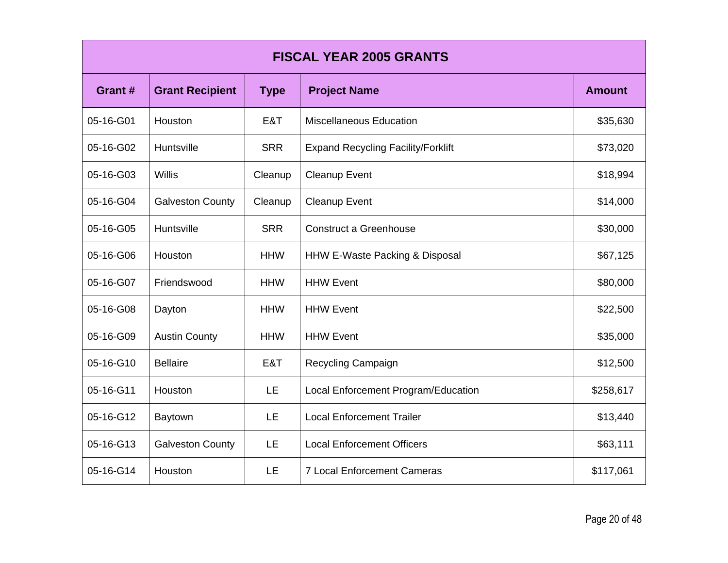| <b>FISCAL YEAR 2005 GRANTS</b> |                         |             |                                           |               |  |
|--------------------------------|-------------------------|-------------|-------------------------------------------|---------------|--|
| Grant #                        | <b>Grant Recipient</b>  | <b>Type</b> | <b>Project Name</b>                       | <b>Amount</b> |  |
| 05-16-G01                      | Houston                 | E&T         | <b>Miscellaneous Education</b>            | \$35,630      |  |
| 05-16-G02                      | Huntsville              | <b>SRR</b>  | <b>Expand Recycling Facility/Forklift</b> | \$73,020      |  |
| 05-16-G03                      | Willis                  | Cleanup     | Cleanup Event                             | \$18,994      |  |
| 05-16-G04                      | <b>Galveston County</b> | Cleanup     | <b>Cleanup Event</b>                      | \$14,000      |  |
| 05-16-G05                      | Huntsville              | <b>SRR</b>  | <b>Construct a Greenhouse</b>             | \$30,000      |  |
| 05-16-G06                      | Houston                 | <b>HHW</b>  | HHW E-Waste Packing & Disposal            | \$67,125      |  |
| 05-16-G07                      | Friendswood             | <b>HHW</b>  | <b>HHW Event</b>                          | \$80,000      |  |
| 05-16-G08                      | Dayton                  | <b>HHW</b>  | <b>HHW Event</b>                          | \$22,500      |  |
| 05-16-G09                      | <b>Austin County</b>    | <b>HHW</b>  | <b>HHW Event</b>                          | \$35,000      |  |
| 05-16-G10                      | <b>Bellaire</b>         | E&T         | Recycling Campaign                        | \$12,500      |  |
| 05-16-G11                      | Houston                 | LE.         | Local Enforcement Program/Education       | \$258,617     |  |
| 05-16-G12                      | <b>Baytown</b>          | LE          | <b>Local Enforcement Trailer</b>          | \$13,440      |  |
| 05-16-G13                      | <b>Galveston County</b> | LE          | <b>Local Enforcement Officers</b>         | \$63,111      |  |
| 05-16-G14                      | Houston                 | LE          | <b>7 Local Enforcement Cameras</b>        | \$117,061     |  |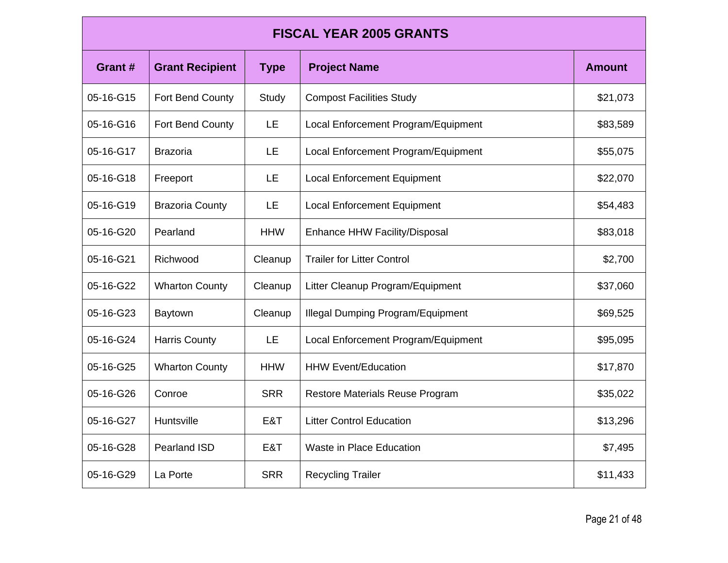| <b>FISCAL YEAR 2005 GRANTS</b> |                        |             |                                          |               |  |
|--------------------------------|------------------------|-------------|------------------------------------------|---------------|--|
| Grant #                        | <b>Grant Recipient</b> | <b>Type</b> | <b>Project Name</b>                      | <b>Amount</b> |  |
| 05-16-G15                      | Fort Bend County       | Study       | <b>Compost Facilities Study</b>          | \$21,073      |  |
| 05-16-G16                      | Fort Bend County       | <b>LE</b>   | Local Enforcement Program/Equipment      | \$83,589      |  |
| 05-16-G17                      | <b>Brazoria</b>        | LE.         | Local Enforcement Program/Equipment      | \$55,075      |  |
| 05-16-G18                      | Freeport               | LE          | <b>Local Enforcement Equipment</b>       | \$22,070      |  |
| 05-16-G19                      | <b>Brazoria County</b> | <b>LE</b>   | <b>Local Enforcement Equipment</b>       | \$54,483      |  |
| 05-16-G20                      | Pearland               | <b>HHW</b>  | Enhance HHW Facility/Disposal            | \$83,018      |  |
| 05-16-G21                      | Richwood               | Cleanup     | <b>Trailer for Litter Control</b>        | \$2,700       |  |
| 05-16-G22                      | <b>Wharton County</b>  | Cleanup     | Litter Cleanup Program/Equipment         | \$37,060      |  |
| 05-16-G23                      | <b>Baytown</b>         | Cleanup     | <b>Illegal Dumping Program/Equipment</b> | \$69,525      |  |
| 05-16-G24                      | <b>Harris County</b>   | LE          | Local Enforcement Program/Equipment      | \$95,095      |  |
| 05-16-G25                      | <b>Wharton County</b>  | <b>HHW</b>  | <b>HHW Event/Education</b>               | \$17,870      |  |
| 05-16-G26                      | Conroe                 | <b>SRR</b>  | <b>Restore Materials Reuse Program</b>   | \$35,022      |  |
| 05-16-G27                      | Huntsville             | E&T         | <b>Litter Control Education</b>          | \$13,296      |  |
| 05-16-G28                      | <b>Pearland ISD</b>    | E&T         | <b>Waste in Place Education</b>          | \$7,495       |  |
| 05-16-G29                      | La Porte               | <b>SRR</b>  | <b>Recycling Trailer</b>                 | \$11,433      |  |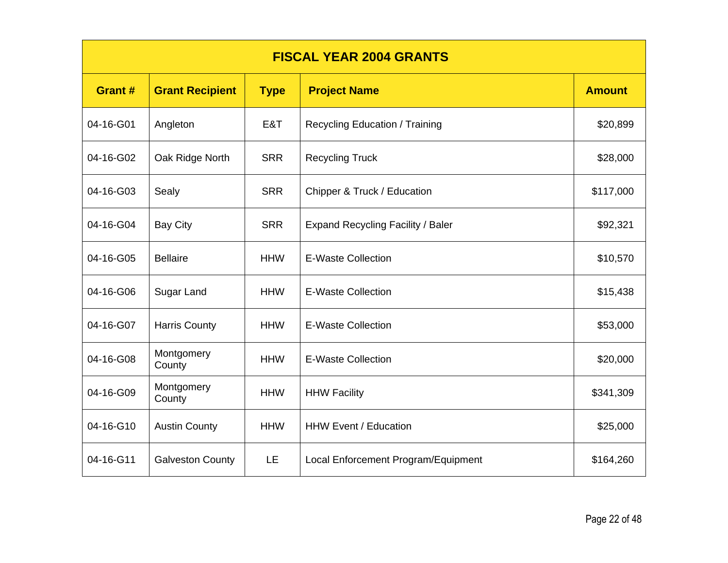| <b>FISCAL YEAR 2004 GRANTS</b> |                         |             |                                          |               |
|--------------------------------|-------------------------|-------------|------------------------------------------|---------------|
| Grant #                        | <b>Grant Recipient</b>  | <b>Type</b> | <b>Project Name</b>                      | <b>Amount</b> |
| 04-16-G01                      | Angleton                | E&T         | Recycling Education / Training           | \$20,899      |
| 04-16-G02                      | Oak Ridge North         | <b>SRR</b>  | <b>Recycling Truck</b>                   | \$28,000      |
| 04-16-G03                      | Sealy                   | <b>SRR</b>  | Chipper & Truck / Education              | \$117,000     |
| 04-16-G04                      | <b>Bay City</b>         | <b>SRR</b>  | <b>Expand Recycling Facility / Baler</b> | \$92,321      |
| 04-16-G05                      | <b>Bellaire</b>         | <b>HHW</b>  | <b>E-Waste Collection</b>                | \$10,570      |
| 04-16-G06                      | Sugar Land              | <b>HHW</b>  | <b>E-Waste Collection</b>                | \$15,438      |
| 04-16-G07                      | <b>Harris County</b>    | <b>HHW</b>  | <b>E-Waste Collection</b>                | \$53,000      |
| 04-16-G08                      | Montgomery<br>County    | <b>HHW</b>  | <b>E-Waste Collection</b>                | \$20,000      |
| 04-16-G09                      | Montgomery<br>County    | <b>HHW</b>  | <b>HHW Facility</b>                      | \$341,309     |
| 04-16-G10                      | <b>Austin County</b>    | <b>HHW</b>  | <b>HHW Event / Education</b>             | \$25,000      |
| 04-16-G11                      | <b>Galveston County</b> | LE.         | Local Enforcement Program/Equipment      | \$164,260     |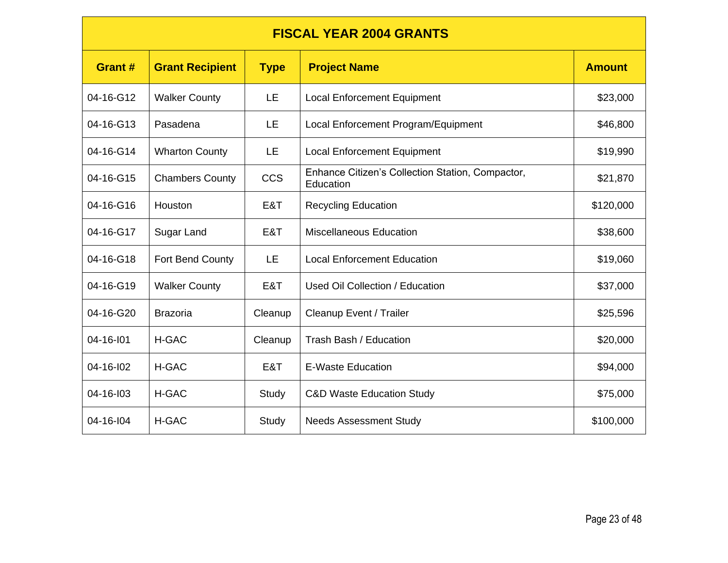## **FISCAL YEAR 2004 GRANTS**

| <b>Grant#</b> | <b>Grant Recipient</b> | <b>Type</b> | <b>Project Name</b>                                           | <b>Amount</b> |
|---------------|------------------------|-------------|---------------------------------------------------------------|---------------|
| 04-16-G12     | <b>Walker County</b>   | <b>LE</b>   | <b>Local Enforcement Equipment</b>                            | \$23,000      |
| 04-16-G13     | Pasadena               | <b>LE</b>   | Local Enforcement Program/Equipment                           | \$46,800      |
| 04-16-G14     | <b>Wharton County</b>  | LE          | <b>Local Enforcement Equipment</b>                            | \$19,990      |
| 04-16-G15     | <b>Chambers County</b> | <b>CCS</b>  | Enhance Citizen's Collection Station, Compactor,<br>Education | \$21,870      |
| 04-16-G16     | Houston                | E&T         | <b>Recycling Education</b>                                    | \$120,000     |
| 04-16-G17     | Sugar Land             | E&T         | <b>Miscellaneous Education</b>                                | \$38,600      |
| 04-16-G18     | Fort Bend County       | LE          | <b>Local Enforcement Education</b>                            | \$19,060      |
| 04-16-G19     | <b>Walker County</b>   | E&T         | Used Oil Collection / Education                               | \$37,000      |
| 04-16-G20     | <b>Brazoria</b>        | Cleanup     | Cleanup Event / Trailer                                       | \$25,596      |
| 04-16-101     | <b>H-GAC</b>           | Cleanup     | Trash Bash / Education                                        | \$20,000      |
| 04-16-102     | <b>H-GAC</b>           | E&T         | E-Waste Education                                             | \$94,000      |
| 04-16-103     | H-GAC                  | Study       | <b>C&amp;D Waste Education Study</b>                          | \$75,000      |
| 04-16-104     | <b>H-GAC</b>           | Study       | <b>Needs Assessment Study</b>                                 | \$100,000     |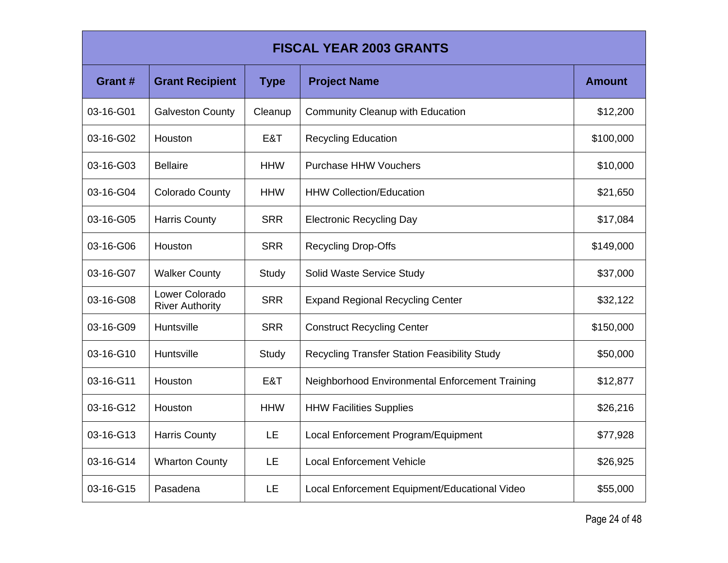| <b>FISCAL YEAR 2003 GRANTS</b> |                                          |             |                                                     |               |  |
|--------------------------------|------------------------------------------|-------------|-----------------------------------------------------|---------------|--|
| Grant #                        | <b>Grant Recipient</b>                   | <b>Type</b> | <b>Project Name</b>                                 | <b>Amount</b> |  |
| 03-16-G01                      | <b>Galveston County</b>                  | Cleanup     | <b>Community Cleanup with Education</b>             | \$12,200      |  |
| 03-16-G02                      | Houston                                  | E&T         | <b>Recycling Education</b>                          | \$100,000     |  |
| 03-16-G03                      | <b>Bellaire</b>                          | <b>HHW</b>  | <b>Purchase HHW Vouchers</b>                        | \$10,000      |  |
| 03-16-G04                      | <b>Colorado County</b>                   | <b>HHW</b>  | <b>HHW Collection/Education</b>                     | \$21,650      |  |
| 03-16-G05                      | <b>Harris County</b>                     | <b>SRR</b>  | <b>Electronic Recycling Day</b>                     | \$17,084      |  |
| 03-16-G06                      | Houston                                  | <b>SRR</b>  | <b>Recycling Drop-Offs</b>                          | \$149,000     |  |
| 03-16-G07                      | <b>Walker County</b>                     | Study       | Solid Waste Service Study                           | \$37,000      |  |
| 03-16-G08                      | Lower Colorado<br><b>River Authority</b> | <b>SRR</b>  | <b>Expand Regional Recycling Center</b>             | \$32,122      |  |
| 03-16-G09                      | Huntsville                               | <b>SRR</b>  | <b>Construct Recycling Center</b>                   | \$150,000     |  |
| 03-16-G10                      | Huntsville                               | Study       | <b>Recycling Transfer Station Feasibility Study</b> | \$50,000      |  |
| 03-16-G11                      | Houston                                  | E&T         | Neighborhood Environmental Enforcement Training     | \$12,877      |  |
| 03-16-G12                      | Houston                                  | <b>HHW</b>  | <b>HHW Facilities Supplies</b>                      | \$26,216      |  |
| 03-16-G13                      | <b>Harris County</b>                     | LE          | Local Enforcement Program/Equipment                 | \$77,928      |  |
| 03-16-G14                      | <b>Wharton County</b>                    | <b>LE</b>   | <b>Local Enforcement Vehicle</b>                    | \$26,925      |  |
| 03-16-G15                      | Pasadena                                 | LE          | Local Enforcement Equipment/Educational Video       | \$55,000      |  |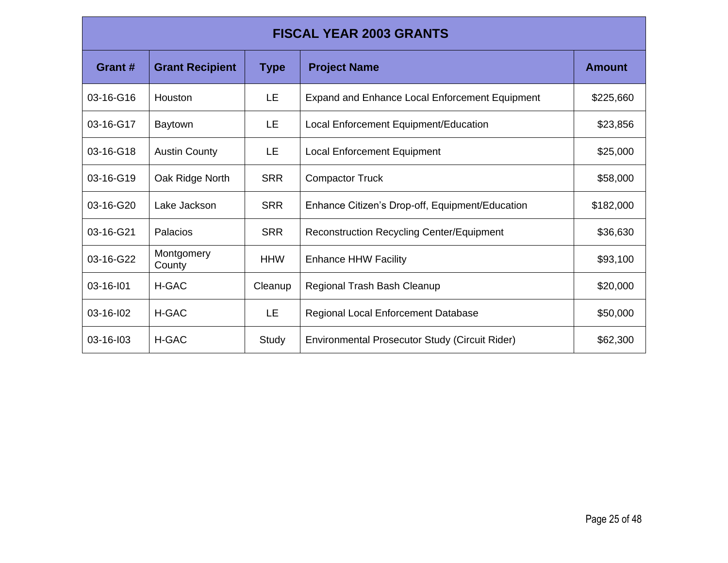| <b>FISCAL YEAR 2003 GRANTS</b> |                        |             |                                                       |               |
|--------------------------------|------------------------|-------------|-------------------------------------------------------|---------------|
| Grant #                        | <b>Grant Recipient</b> | <b>Type</b> | <b>Project Name</b>                                   | <b>Amount</b> |
| 03-16-G16                      | Houston                | LE.         | <b>Expand and Enhance Local Enforcement Equipment</b> | \$225,660     |
| 03-16-G17                      | <b>Baytown</b>         | LE.         | Local Enforcement Equipment/Education                 | \$23,856      |
| 03-16-G18                      | <b>Austin County</b>   | LE.         | <b>Local Enforcement Equipment</b>                    | \$25,000      |
| 03-16-G19                      | Oak Ridge North        | <b>SRR</b>  | <b>Compactor Truck</b>                                | \$58,000      |
| 03-16-G20                      | Lake Jackson           | <b>SRR</b>  | Enhance Citizen's Drop-off, Equipment/Education       | \$182,000     |
| 03-16-G21                      | Palacios               | <b>SRR</b>  | <b>Reconstruction Recycling Center/Equipment</b>      | \$36,630      |
| 03-16-G22                      | Montgomery<br>County   | <b>HHW</b>  | <b>Enhance HHW Facility</b>                           | \$93,100      |
| 03-16-101                      | <b>H-GAC</b>           | Cleanup     | Regional Trash Bash Cleanup                           | \$20,000      |
| 03-16-102                      | H-GAC                  | LE.         | <b>Regional Local Enforcement Database</b>            | \$50,000      |
| 03-16-103                      | H-GAC                  | Study       | Environmental Prosecutor Study (Circuit Rider)        | \$62,300      |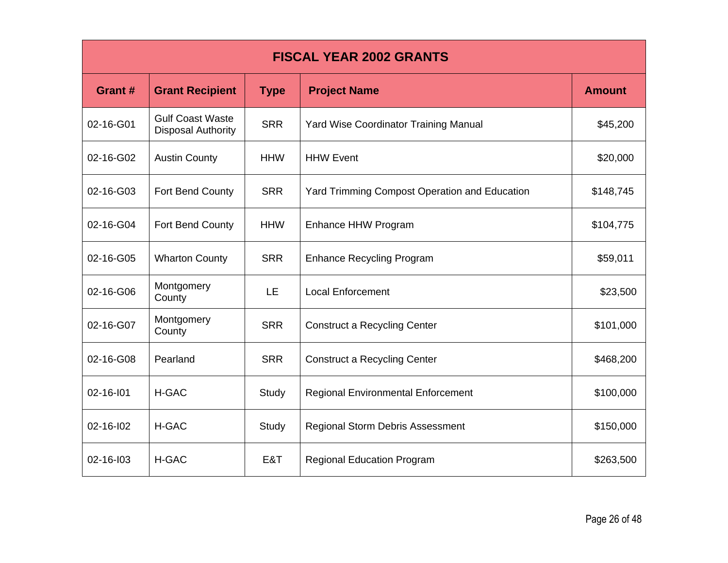| <b>FISCAL YEAR 2002 GRANTS</b> |                                                      |             |                                                      |               |  |
|--------------------------------|------------------------------------------------------|-------------|------------------------------------------------------|---------------|--|
| Grant #                        | <b>Grant Recipient</b>                               | <b>Type</b> | <b>Project Name</b>                                  | <b>Amount</b> |  |
| 02-16-G01                      | <b>Gulf Coast Waste</b><br><b>Disposal Authority</b> | <b>SRR</b>  | <b>Yard Wise Coordinator Training Manual</b>         | \$45,200      |  |
| 02-16-G02                      | <b>Austin County</b>                                 | <b>HHW</b>  | <b>HHW Event</b>                                     | \$20,000      |  |
| 02-16-G03                      | Fort Bend County                                     | <b>SRR</b>  | <b>Yard Trimming Compost Operation and Education</b> | \$148,745     |  |
| 02-16-G04                      | Fort Bend County                                     | <b>HHW</b>  | Enhance HHW Program                                  | \$104,775     |  |
| 02-16-G05                      | <b>Wharton County</b>                                | <b>SRR</b>  | <b>Enhance Recycling Program</b>                     | \$59,011      |  |
| 02-16-G06                      | Montgomery<br>County                                 | <b>LE</b>   | <b>Local Enforcement</b>                             | \$23,500      |  |
| 02-16-G07                      | Montgomery<br>County                                 | <b>SRR</b>  | <b>Construct a Recycling Center</b>                  | \$101,000     |  |
| 02-16-G08                      | Pearland                                             | <b>SRR</b>  | <b>Construct a Recycling Center</b>                  | \$468,200     |  |
| 02-16-101                      | <b>H-GAC</b>                                         | Study       | <b>Regional Environmental Enforcement</b>            | \$100,000     |  |
| 02-16-102                      | H-GAC                                                | Study       | <b>Regional Storm Debris Assessment</b>              | \$150,000     |  |
| 02-16-103                      | <b>H-GAC</b>                                         | E&T         | <b>Regional Education Program</b>                    | \$263,500     |  |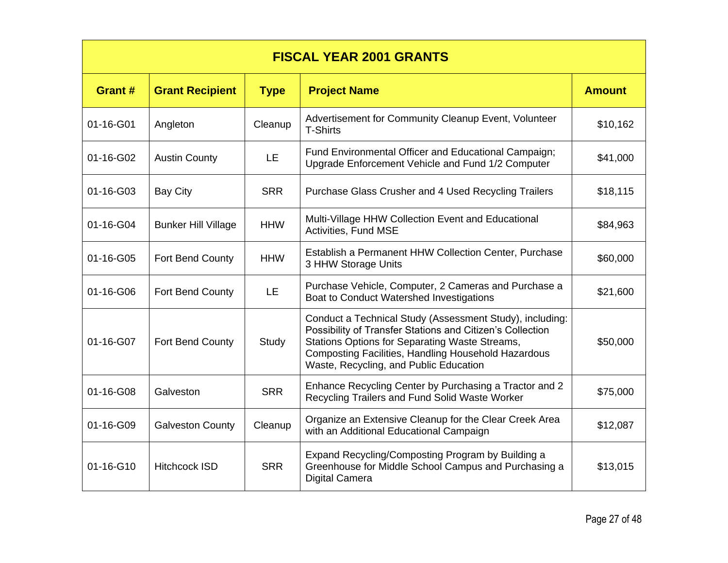| <b>FISCAL YEAR 2001 GRANTS</b> |                            |             |                                                                                                                                                                                                                                                                          |               |
|--------------------------------|----------------------------|-------------|--------------------------------------------------------------------------------------------------------------------------------------------------------------------------------------------------------------------------------------------------------------------------|---------------|
| Grant#                         | <b>Grant Recipient</b>     | <b>Type</b> | <b>Project Name</b>                                                                                                                                                                                                                                                      | <b>Amount</b> |
| 01-16-G01                      | Angleton                   | Cleanup     | Advertisement for Community Cleanup Event, Volunteer<br><b>T-Shirts</b>                                                                                                                                                                                                  | \$10,162      |
| 01-16-G02                      | <b>Austin County</b>       | LE.         | Fund Environmental Officer and Educational Campaign;<br>Upgrade Enforcement Vehicle and Fund 1/2 Computer                                                                                                                                                                | \$41,000      |
| 01-16-G03                      | <b>Bay City</b>            | <b>SRR</b>  | Purchase Glass Crusher and 4 Used Recycling Trailers                                                                                                                                                                                                                     | \$18,115      |
| 01-16-G04                      | <b>Bunker Hill Village</b> | <b>HHW</b>  | Multi-Village HHW Collection Event and Educational<br>Activities, Fund MSE                                                                                                                                                                                               | \$84,963      |
| 01-16-G05                      | Fort Bend County           | <b>HHW</b>  | Establish a Permanent HHW Collection Center, Purchase<br>3 HHW Storage Units                                                                                                                                                                                             | \$60,000      |
| 01-16-G06                      | Fort Bend County           | <b>LE</b>   | Purchase Vehicle, Computer, 2 Cameras and Purchase a<br>Boat to Conduct Watershed Investigations                                                                                                                                                                         | \$21,600      |
| 01-16-G07                      | <b>Fort Bend County</b>    | Study       | Conduct a Technical Study (Assessment Study), including:<br>Possibility of Transfer Stations and Citizen's Collection<br>Stations Options for Separating Waste Streams,<br>Composting Facilities, Handling Household Hazardous<br>Waste, Recycling, and Public Education | \$50,000      |
| 01-16-G08                      | Galveston                  | <b>SRR</b>  | Enhance Recycling Center by Purchasing a Tractor and 2<br>Recycling Trailers and Fund Solid Waste Worker                                                                                                                                                                 | \$75,000      |
| 01-16-G09                      | <b>Galveston County</b>    | Cleanup     | Organize an Extensive Cleanup for the Clear Creek Area<br>with an Additional Educational Campaign                                                                                                                                                                        | \$12,087      |
| 01-16-G10                      | <b>Hitchcock ISD</b>       | <b>SRR</b>  | Expand Recycling/Composting Program by Building a<br>Greenhouse for Middle School Campus and Purchasing a<br><b>Digital Camera</b>                                                                                                                                       | \$13,015      |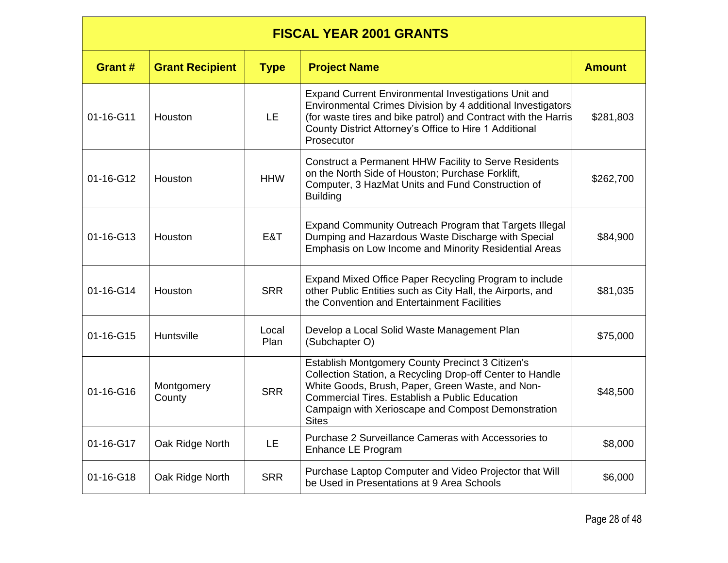| <b>FISCAL YEAR 2001 GRANTS</b> |                        |               |                                                                                                                                                                                                                                                                                                  |               |
|--------------------------------|------------------------|---------------|--------------------------------------------------------------------------------------------------------------------------------------------------------------------------------------------------------------------------------------------------------------------------------------------------|---------------|
| Grant #                        | <b>Grant Recipient</b> | <b>Type</b>   | <b>Project Name</b>                                                                                                                                                                                                                                                                              | <b>Amount</b> |
| 01-16-G11                      | Houston                | LE.           | Expand Current Environmental Investigations Unit and<br>Environmental Crimes Division by 4 additional Investigators<br>(for waste tires and bike patrol) and Contract with the Harris<br>County District Attorney's Office to Hire 1 Additional<br>Prosecutor                                    | \$281,803     |
| 01-16-G12                      | Houston                | <b>HHW</b>    | Construct a Permanent HHW Facility to Serve Residents<br>on the North Side of Houston; Purchase Forklift,<br>Computer, 3 HazMat Units and Fund Construction of<br><b>Building</b>                                                                                                                | \$262,700     |
| 01-16-G13                      | Houston                | E&T           | Expand Community Outreach Program that Targets Illegal<br>Dumping and Hazardous Waste Discharge with Special<br>Emphasis on Low Income and Minority Residential Areas                                                                                                                            | \$84,900      |
| 01-16-G14                      | Houston                | <b>SRR</b>    | Expand Mixed Office Paper Recycling Program to include<br>other Public Entities such as City Hall, the Airports, and<br>the Convention and Entertainment Facilities                                                                                                                              | \$81,035      |
| 01-16-G15                      | Huntsville             | Local<br>Plan | Develop a Local Solid Waste Management Plan<br>(Subchapter O)                                                                                                                                                                                                                                    | \$75,000      |
| 01-16-G16                      | Montgomery<br>County   | <b>SRR</b>    | Establish Montgomery County Precinct 3 Citizen's<br>Collection Station, a Recycling Drop-off Center to Handle<br>White Goods, Brush, Paper, Green Waste, and Non-<br><b>Commercial Tires. Establish a Public Education</b><br>Campaign with Xerioscape and Compost Demonstration<br><b>Sites</b> | \$48,500      |
| 01-16-G17                      | Oak Ridge North        | <b>LE</b>     | Purchase 2 Surveillance Cameras with Accessories to<br>Enhance LE Program                                                                                                                                                                                                                        | \$8,000       |
| 01-16-G18                      | Oak Ridge North        | <b>SRR</b>    | Purchase Laptop Computer and Video Projector that Will<br>be Used in Presentations at 9 Area Schools                                                                                                                                                                                             | \$6,000       |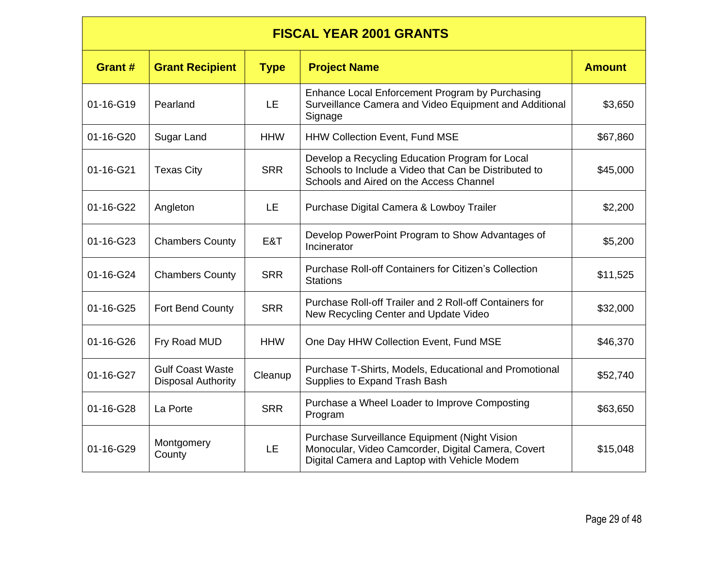#### **FISCAL YEAR 2001 GRANTS Grant #**  $|$  Grant Recipient  $|$  Type  $|$  Project Name **Amount**  $|$  Amount 01-16-G19 Pearland LE Enhance Local Enforcement Program by Purchasing Surveillance Camera and Video Equipment and Additional **Signage** \$3,650 01-16-G20 Sugar Land | HHW | HHW Collection Event, Fund MSE | \$67,860 01-16-G21 | Texas City | SRR Develop a Recycling Education Program for Local Schools to Include a Video that Can be Distributed to Schools and Aired on the Access Channel \$45,000 01-16-G22 Angleton | LE | Purchase Digital Camera & Lowboy Trailer | \$2,200 01-16-G23 Chambers County | E&T | Develop PowerPoint Program to Show Advantages of | \$5,200 01-16-G24 Chambers County SRR Purchase Roll-off Containers for Citizen's Collection \$11,525 01-16-G25 Fort Bend County SRR Purchase Roll-off Trailer and 2 Roll-off Containers for New Recycling Center and Update Video **\$32,000** 01-16-G26 Fry Road MUD | HHW | One Day HHW Collection Event, Fund MSE | \$46,370 01-16-G27 | Gulf Coast Waste<br>Disposal Authority  $C$ leanup Purchase T-Shirts, Models, Educational and Promotional Purchase T-Shins, Models, Educational and Promotional **\$52,740**<br>Supplies to Expand Trash Bash 01-16-G28 La Porte Resource SRR Purchase a Wheel Loader to Improve Composting the S63,650<br>Program 01-16-G29 Montgomery Nongomery LE<br>County LE Purchase Surveillance Equipment (Night Vision Monocular, Video Camcorder, Digital Camera, Covert Digital Camera and Laptop with Vehicle Modem \$15,048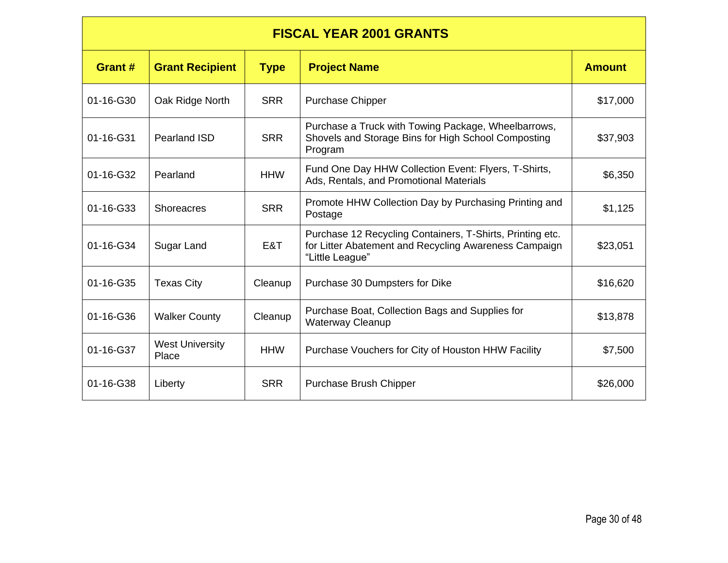#### **FISCAL YEAR 2001 GRANTS**

| Grant #         | <b>Grant Recipient</b>          | <b>Type</b> | <b>Project Name</b>                                                                                                                   | <b>Amount</b> |
|-----------------|---------------------------------|-------------|---------------------------------------------------------------------------------------------------------------------------------------|---------------|
| 01-16-G30       | Oak Ridge North                 | <b>SRR</b>  | <b>Purchase Chipper</b>                                                                                                               | \$17,000      |
| 01-16-G31       | <b>Pearland ISD</b>             | <b>SRR</b>  | Purchase a Truck with Towing Package, Wheelbarrows,<br>Shovels and Storage Bins for High School Composting<br>Program                 | \$37,903      |
| 01-16-G32       | Pearland                        | <b>HHW</b>  | Fund One Day HHW Collection Event: Flyers, T-Shirts,<br>Ads, Rentals, and Promotional Materials                                       | \$6,350       |
| $01 - 16 - G33$ | <b>Shoreacres</b>               | <b>SRR</b>  | Promote HHW Collection Day by Purchasing Printing and<br>Postage                                                                      | \$1,125       |
| 01-16-G34       | Sugar Land                      | E&T         | Purchase 12 Recycling Containers, T-Shirts, Printing etc.<br>for Litter Abatement and Recycling Awareness Campaign<br>"Little League" | \$23,051      |
| $01 - 16 - G35$ | <b>Texas City</b>               | Cleanup     | Purchase 30 Dumpsters for Dike                                                                                                        | \$16,620      |
| 01-16-G36       | <b>Walker County</b>            | Cleanup     | Purchase Boat, Collection Bags and Supplies for<br><b>Waterway Cleanup</b>                                                            | \$13,878      |
| 01-16-G37       | <b>West University</b><br>Place | <b>HHW</b>  | Purchase Vouchers for City of Houston HHW Facility                                                                                    | \$7,500       |
| 01-16-G38       | Liberty                         | <b>SRR</b>  | Purchase Brush Chipper                                                                                                                | \$26,000      |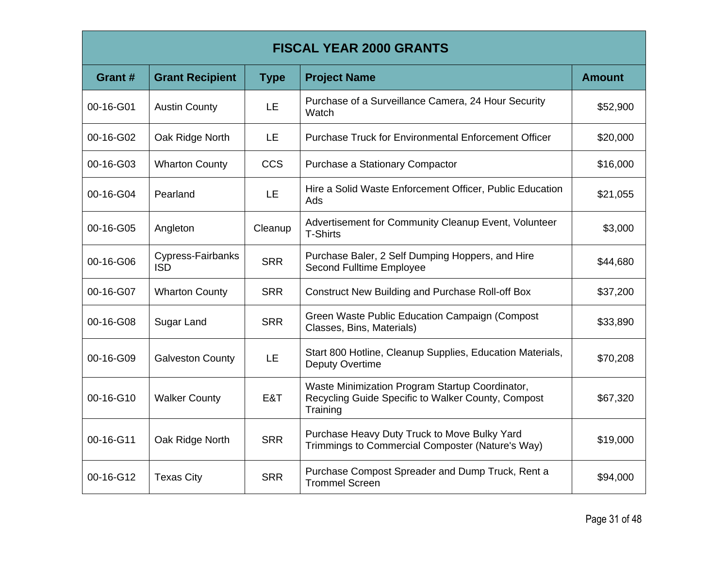| <b>FISCAL YEAR 2000 GRANTS</b> |                                 |             |                                                                                                                   |               |
|--------------------------------|---------------------------------|-------------|-------------------------------------------------------------------------------------------------------------------|---------------|
| Grant #                        | <b>Grant Recipient</b>          | <b>Type</b> | <b>Project Name</b>                                                                                               | <b>Amount</b> |
| 00-16-G01                      | <b>Austin County</b>            | <b>LE</b>   | Purchase of a Surveillance Camera, 24 Hour Security<br>Watch                                                      | \$52,900      |
| 00-16-G02                      | Oak Ridge North                 | <b>LE</b>   | <b>Purchase Truck for Environmental Enforcement Officer</b>                                                       | \$20,000      |
| 00-16-G03                      | <b>Wharton County</b>           | <b>CCS</b>  | Purchase a Stationary Compactor                                                                                   | \$16,000      |
| 00-16-G04                      | Pearland                        | LE          | Hire a Solid Waste Enforcement Officer, Public Education<br>Ads                                                   | \$21,055      |
| 00-16-G05                      | Angleton                        | Cleanup     | Advertisement for Community Cleanup Event, Volunteer<br><b>T-Shirts</b>                                           | \$3,000       |
| 00-16-G06                      | Cypress-Fairbanks<br><b>ISD</b> | <b>SRR</b>  | Purchase Baler, 2 Self Dumping Hoppers, and Hire<br>Second Fulltime Employee                                      | \$44,680      |
| 00-16-G07                      | <b>Wharton County</b>           | <b>SRR</b>  | <b>Construct New Building and Purchase Roll-off Box</b>                                                           | \$37,200      |
| 00-16-G08                      | Sugar Land                      | <b>SRR</b>  | Green Waste Public Education Campaign (Compost<br>Classes, Bins, Materials)                                       | \$33,890      |
| 00-16-G09                      | <b>Galveston County</b>         | LE          | Start 800 Hotline, Cleanup Supplies, Education Materials,<br><b>Deputy Overtime</b>                               | \$70,208      |
| 00-16-G10                      | <b>Walker County</b>            | E&T         | Waste Minimization Program Startup Coordinator,<br>Recycling Guide Specific to Walker County, Compost<br>Training | \$67,320      |
| 00-16-G11                      | Oak Ridge North                 | <b>SRR</b>  | Purchase Heavy Duty Truck to Move Bulky Yard<br>Trimmings to Commercial Composter (Nature's Way)                  | \$19,000      |
| 00-16-G12                      | <b>Texas City</b>               | <b>SRR</b>  | Purchase Compost Spreader and Dump Truck, Rent a<br><b>Trommel Screen</b>                                         | \$94,000      |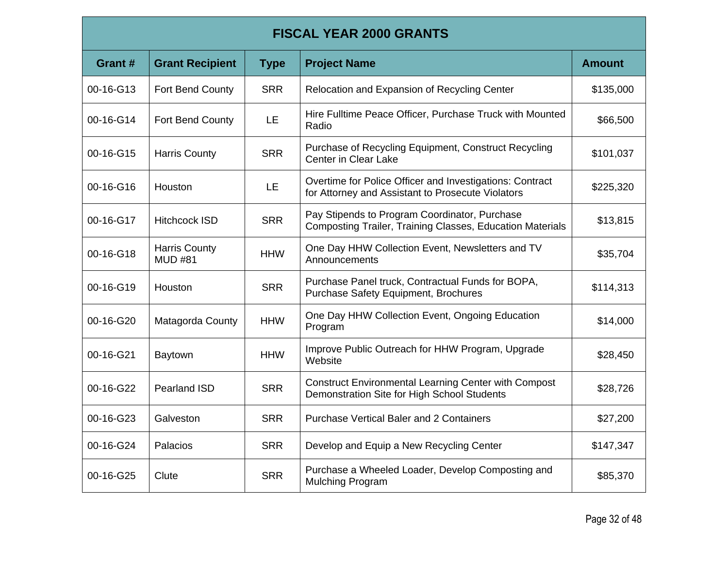# **FISCAL YEAR 2000 GRANTS**

| Grant#    | <b>Grant Recipient</b>                 | <b>Type</b> | <b>Project Name</b>                                                                                           | <b>Amount</b> |
|-----------|----------------------------------------|-------------|---------------------------------------------------------------------------------------------------------------|---------------|
| 00-16-G13 | Fort Bend County                       | <b>SRR</b>  | Relocation and Expansion of Recycling Center                                                                  | \$135,000     |
| 00-16-G14 | Fort Bend County                       | LE.         | Hire Fulltime Peace Officer, Purchase Truck with Mounted<br>Radio                                             | \$66,500      |
| 00-16-G15 | <b>Harris County</b>                   | <b>SRR</b>  | Purchase of Recycling Equipment, Construct Recycling<br><b>Center in Clear Lake</b>                           | \$101,037     |
| 00-16-G16 | Houston                                | <b>LE</b>   | Overtime for Police Officer and Investigations: Contract<br>for Attorney and Assistant to Prosecute Violators | \$225,320     |
| 00-16-G17 | <b>Hitchcock ISD</b>                   | <b>SRR</b>  | Pay Stipends to Program Coordinator, Purchase<br>Composting Trailer, Training Classes, Education Materials    | \$13,815      |
| 00-16-G18 | <b>Harris County</b><br><b>MUD #81</b> | <b>HHW</b>  | One Day HHW Collection Event, Newsletters and TV<br>Announcements                                             | \$35,704      |
| 00-16-G19 | Houston                                | <b>SRR</b>  | Purchase Panel truck, Contractual Funds for BOPA,<br>Purchase Safety Equipment, Brochures                     | \$114,313     |
| 00-16-G20 | Matagorda County                       | <b>HHW</b>  | One Day HHW Collection Event, Ongoing Education<br>Program                                                    | \$14,000      |
| 00-16-G21 | Baytown                                | <b>HHW</b>  | Improve Public Outreach for HHW Program, Upgrade<br>Website                                                   | \$28,450      |
| 00-16-G22 | Pearland ISD                           | <b>SRR</b>  | <b>Construct Environmental Learning Center with Compost</b><br>Demonstration Site for High School Students    | \$28,726      |
| 00-16-G23 | Galveston                              | <b>SRR</b>  | <b>Purchase Vertical Baler and 2 Containers</b>                                                               | \$27,200      |
| 00-16-G24 | Palacios                               | <b>SRR</b>  | Develop and Equip a New Recycling Center                                                                      | \$147,347     |
| 00-16-G25 | Clute                                  | <b>SRR</b>  | Purchase a Wheeled Loader, Develop Composting and<br><b>Mulching Program</b>                                  | \$85,370      |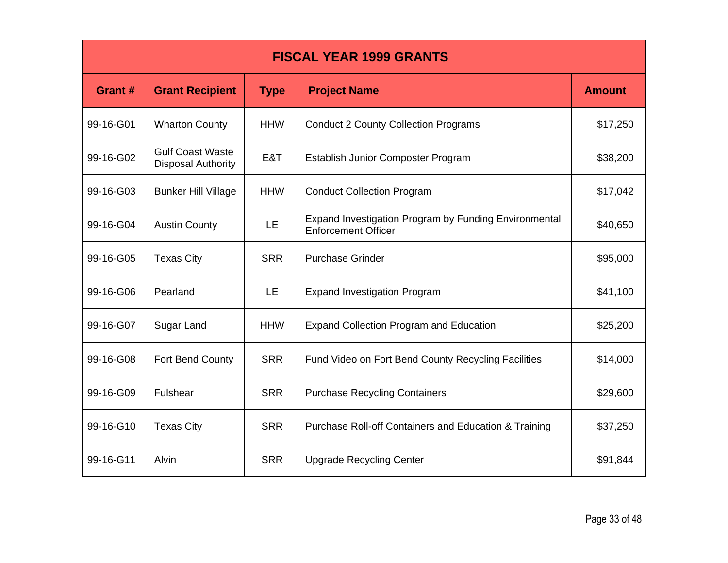| <b>FISCAL YEAR 1999 GRANTS</b> |                                                      |             |                                                                                     |               |  |
|--------------------------------|------------------------------------------------------|-------------|-------------------------------------------------------------------------------------|---------------|--|
| Grant #                        | <b>Grant Recipient</b>                               | <b>Type</b> | <b>Project Name</b>                                                                 | <b>Amount</b> |  |
| 99-16-G01                      | <b>Wharton County</b>                                | <b>HHW</b>  | <b>Conduct 2 County Collection Programs</b>                                         | \$17,250      |  |
| 99-16-G02                      | <b>Gulf Coast Waste</b><br><b>Disposal Authority</b> | E&T         | Establish Junior Composter Program                                                  | \$38,200      |  |
| 99-16-G03                      | <b>Bunker Hill Village</b>                           | <b>HHW</b>  | <b>Conduct Collection Program</b>                                                   | \$17,042      |  |
| 99-16-G04                      | <b>Austin County</b>                                 | <b>LE</b>   | Expand Investigation Program by Funding Environmental<br><b>Enforcement Officer</b> | \$40,650      |  |
| 99-16-G05                      | <b>Texas City</b>                                    | <b>SRR</b>  | <b>Purchase Grinder</b>                                                             | \$95,000      |  |
| 99-16-G06                      | Pearland                                             | LE.         | <b>Expand Investigation Program</b>                                                 | \$41,100      |  |
| 99-16-G07                      | Sugar Land                                           | <b>HHW</b>  | <b>Expand Collection Program and Education</b>                                      | \$25,200      |  |
| 99-16-G08                      | Fort Bend County                                     | <b>SRR</b>  | Fund Video on Fort Bend County Recycling Facilities                                 | \$14,000      |  |
| 99-16-G09                      | Fulshear                                             | <b>SRR</b>  | <b>Purchase Recycling Containers</b>                                                | \$29,600      |  |
| 99-16-G10                      | <b>Texas City</b>                                    | <b>SRR</b>  | <b>Purchase Roll-off Containers and Education &amp; Training</b>                    | \$37,250      |  |
| 99-16-G11                      | Alvin                                                | <b>SRR</b>  | <b>Upgrade Recycling Center</b>                                                     | \$91,844      |  |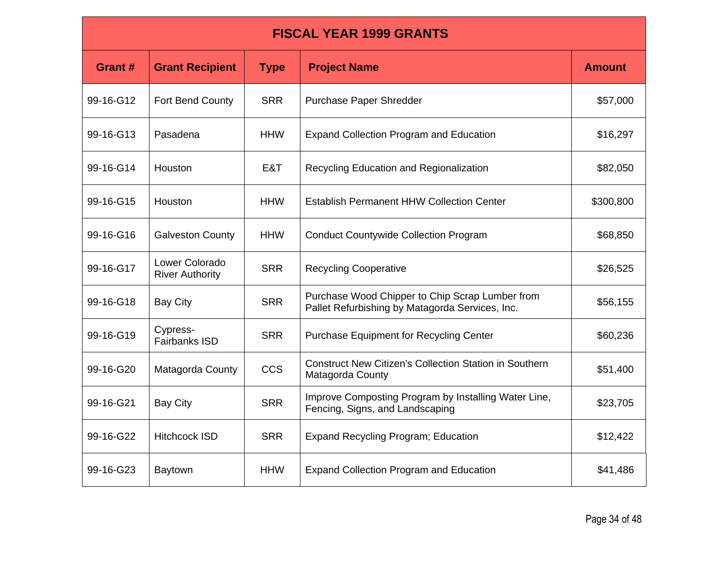| <b>FISCAL YEAR 1999 GRANTS</b> |                                          |             |                                                                                                    |               |  |
|--------------------------------|------------------------------------------|-------------|----------------------------------------------------------------------------------------------------|---------------|--|
| Grant #                        | <b>Grant Recipient</b>                   | <b>Type</b> | <b>Project Name</b>                                                                                | <b>Amount</b> |  |
| 99-16-G12                      | Fort Bend County                         | <b>SRR</b>  | Purchase Paper Shredder                                                                            | \$57,000      |  |
| 99-16-G13                      | Pasadena                                 | <b>HHW</b>  | <b>Expand Collection Program and Education</b>                                                     | \$16,297      |  |
| 99-16-G14                      | Houston                                  | E&T         | Recycling Education and Regionalization                                                            | \$82,050      |  |
| 99-16-G15                      | Houston                                  | <b>HHW</b>  | <b>Establish Permanent HHW Collection Center</b>                                                   | \$300,800     |  |
| 99-16-G16                      | <b>Galveston County</b>                  | <b>HHW</b>  | <b>Conduct Countywide Collection Program</b>                                                       | \$68,850      |  |
| 99-16-G17                      | Lower Colorado<br><b>River Authority</b> | <b>SRR</b>  | <b>Recycling Cooperative</b>                                                                       | \$26,525      |  |
| 99-16-G18                      | <b>Bay City</b>                          | <b>SRR</b>  | Purchase Wood Chipper to Chip Scrap Lumber from<br>Pallet Refurbishing by Matagorda Services, Inc. | \$56,155      |  |
| 99-16-G19                      | Cypress-<br>Fairbanks ISD                | <b>SRR</b>  | <b>Purchase Equipment for Recycling Center</b>                                                     | \$60,236      |  |
| 99-16-G20                      | Matagorda County                         | <b>CCS</b>  | <b>Construct New Citizen's Collection Station in Southern</b><br>Matagorda County                  | \$51,400      |  |
| 99-16-G21                      | <b>Bay City</b>                          | <b>SRR</b>  | Improve Composting Program by Installing Water Line,<br>Fencing, Signs, and Landscaping            | \$23,705      |  |
| 99-16-G22                      | <b>Hitchcock ISD</b>                     | <b>SRR</b>  | <b>Expand Recycling Program; Education</b>                                                         | \$12,422      |  |
| 99-16-G23                      | Baytown                                  | <b>HHW</b>  | <b>Expand Collection Program and Education</b>                                                     | \$41,486      |  |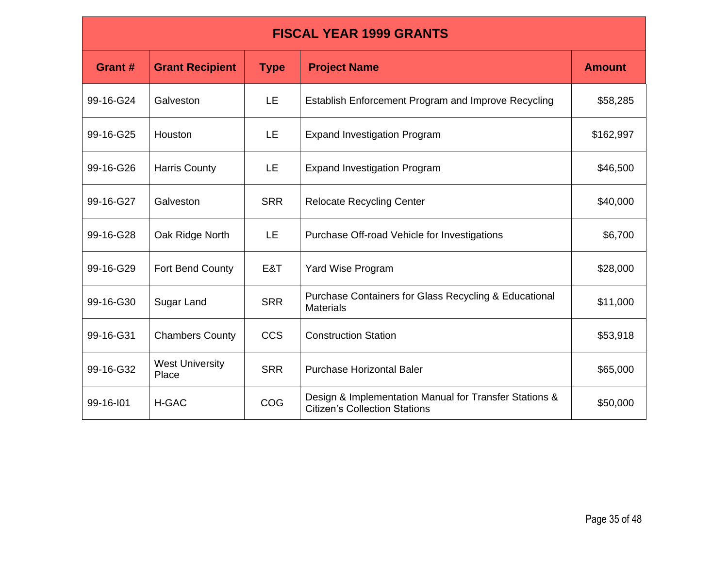| <b>FISCAL YEAR 1999 GRANTS</b> |                                 |             |                                                                                                |               |  |
|--------------------------------|---------------------------------|-------------|------------------------------------------------------------------------------------------------|---------------|--|
| Grant #                        | <b>Grant Recipient</b>          | <b>Type</b> | <b>Project Name</b>                                                                            | <b>Amount</b> |  |
| 99-16-G24                      | Galveston                       | <b>LE</b>   | Establish Enforcement Program and Improve Recycling                                            | \$58,285      |  |
| 99-16-G25                      | Houston                         | <b>LE</b>   | <b>Expand Investigation Program</b>                                                            | \$162,997     |  |
| 99-16-G26                      | <b>Harris County</b>            | <b>LE</b>   | <b>Expand Investigation Program</b>                                                            | \$46,500      |  |
| 99-16-G27                      | Galveston                       | <b>SRR</b>  | <b>Relocate Recycling Center</b>                                                               | \$40,000      |  |
| 99-16-G28                      | Oak Ridge North                 | LE.         | Purchase Off-road Vehicle for Investigations                                                   | \$6,700       |  |
| 99-16-G29                      | Fort Bend County                | E&T         | Yard Wise Program                                                                              | \$28,000      |  |
| 99-16-G30                      | Sugar Land                      | <b>SRR</b>  | Purchase Containers for Glass Recycling & Educational<br><b>Materials</b>                      | \$11,000      |  |
| 99-16-G31                      | <b>Chambers County</b>          | <b>CCS</b>  | <b>Construction Station</b>                                                                    | \$53,918      |  |
| 99-16-G32                      | <b>West University</b><br>Place | <b>SRR</b>  | <b>Purchase Horizontal Baler</b>                                                               | \$65,000      |  |
| 99-16-101                      | H-GAC                           | <b>COG</b>  | Design & Implementation Manual for Transfer Stations &<br><b>Citizen's Collection Stations</b> | \$50,000      |  |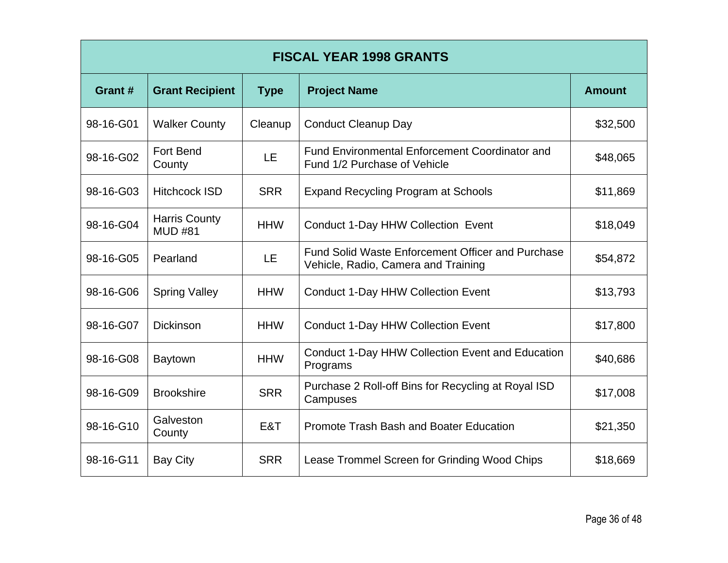| <b>FISCAL YEAR 1998 GRANTS</b> |                                        |             |                                                                                                 |               |  |
|--------------------------------|----------------------------------------|-------------|-------------------------------------------------------------------------------------------------|---------------|--|
| Grant #                        | <b>Grant Recipient</b>                 | <b>Type</b> | <b>Project Name</b>                                                                             | <b>Amount</b> |  |
| 98-16-G01                      | <b>Walker County</b>                   | Cleanup     | <b>Conduct Cleanup Day</b>                                                                      | \$32,500      |  |
| 98-16-G02                      | <b>Fort Bend</b><br>County             | LE          | <b>Fund Environmental Enforcement Coordinator and</b><br>Fund 1/2 Purchase of Vehicle           | \$48,065      |  |
| 98-16-G03                      | <b>Hitchcock ISD</b>                   | <b>SRR</b>  | <b>Expand Recycling Program at Schools</b>                                                      | \$11,869      |  |
| 98-16-G04                      | <b>Harris County</b><br><b>MUD #81</b> | <b>HHW</b>  | Conduct 1-Day HHW Collection Event                                                              | \$18,049      |  |
| 98-16-G05                      | Pearland                               | <b>LE</b>   | <b>Fund Solid Waste Enforcement Officer and Purchase</b><br>Vehicle, Radio, Camera and Training | \$54,872      |  |
| 98-16-G06                      | <b>Spring Valley</b>                   | <b>HHW</b>  | <b>Conduct 1-Day HHW Collection Event</b>                                                       | \$13,793      |  |
| 98-16-G07                      | <b>Dickinson</b>                       | <b>HHW</b>  | <b>Conduct 1-Day HHW Collection Event</b>                                                       | \$17,800      |  |
| 98-16-G08                      | <b>Baytown</b>                         | <b>HHW</b>  | Conduct 1-Day HHW Collection Event and Education<br>Programs                                    | \$40,686      |  |
| 98-16-G09                      | <b>Brookshire</b>                      | <b>SRR</b>  | Purchase 2 Roll-off Bins for Recycling at Royal ISD<br>Campuses                                 | \$17,008      |  |
| 98-16-G10                      | Galveston<br>County                    | E&T         | Promote Trash Bash and Boater Education                                                         | \$21,350      |  |
| 98-16-G11                      | <b>Bay City</b>                        | <b>SRR</b>  | Lease Trommel Screen for Grinding Wood Chips                                                    | \$18,669      |  |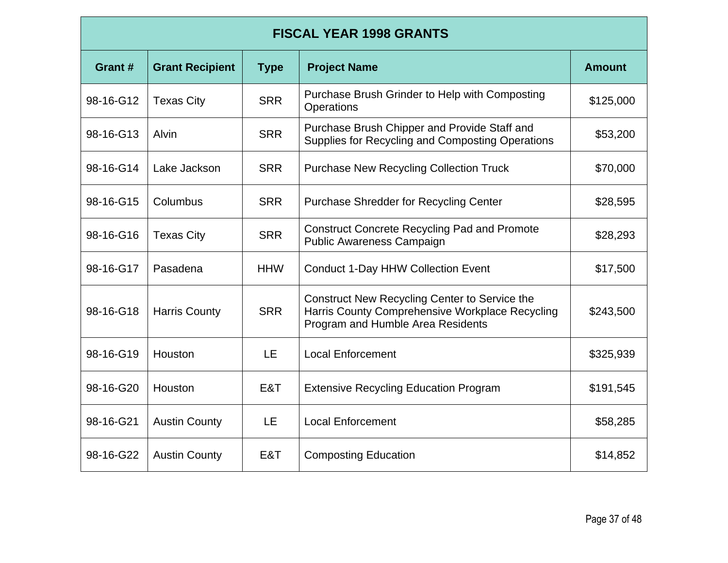| <b>FISCAL YEAR 1998 GRANTS</b> |                        |             |                                                                                                                                       |               |  |
|--------------------------------|------------------------|-------------|---------------------------------------------------------------------------------------------------------------------------------------|---------------|--|
| Grant#                         | <b>Grant Recipient</b> | <b>Type</b> | <b>Project Name</b>                                                                                                                   | <b>Amount</b> |  |
| 98-16-G12                      | <b>Texas City</b>      | <b>SRR</b>  | Purchase Brush Grinder to Help with Composting<br>Operations                                                                          | \$125,000     |  |
| 98-16-G13                      | <b>Alvin</b>           | <b>SRR</b>  | Purchase Brush Chipper and Provide Staff and<br>Supplies for Recycling and Composting Operations                                      | \$53,200      |  |
| 98-16-G14                      | Lake Jackson           | <b>SRR</b>  | <b>Purchase New Recycling Collection Truck</b>                                                                                        | \$70,000      |  |
| 98-16-G15                      | Columbus               | <b>SRR</b>  | <b>Purchase Shredder for Recycling Center</b>                                                                                         | \$28,595      |  |
| 98-16-G16                      | <b>Texas City</b>      | <b>SRR</b>  | <b>Construct Concrete Recycling Pad and Promote</b><br>Public Awareness Campaign                                                      | \$28,293      |  |
| 98-16-G17                      | Pasadena               | <b>HHW</b>  | <b>Conduct 1-Day HHW Collection Event</b>                                                                                             | \$17,500      |  |
| 98-16-G18                      | <b>Harris County</b>   | <b>SRR</b>  | Construct New Recycling Center to Service the<br>Harris County Comprehensive Workplace Recycling<br>Program and Humble Area Residents | \$243,500     |  |
| 98-16-G19                      | Houston                | LE          | <b>Local Enforcement</b>                                                                                                              | \$325,939     |  |
| 98-16-G20                      | Houston                | E&T         | <b>Extensive Recycling Education Program</b>                                                                                          | \$191,545     |  |
| 98-16-G21                      | <b>Austin County</b>   | LE          | <b>Local Enforcement</b>                                                                                                              | \$58,285      |  |
| 98-16-G22                      | <b>Austin County</b>   | E&T         | <b>Composting Education</b>                                                                                                           | \$14,852      |  |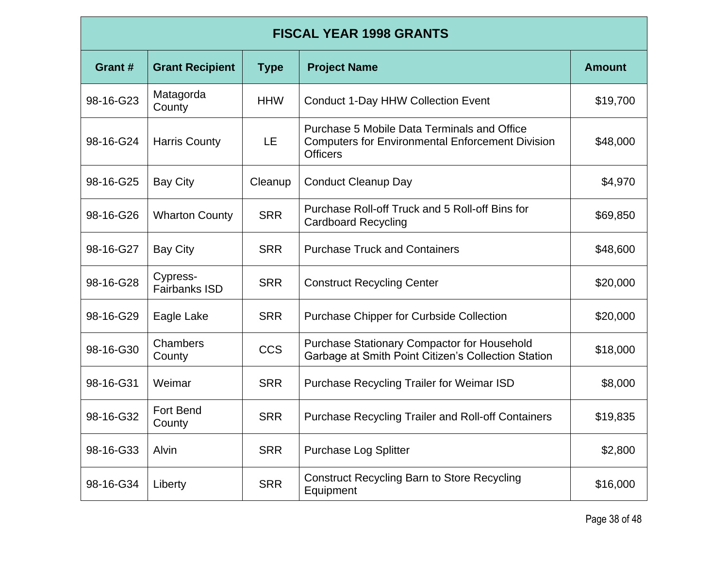| <b>FISCAL YEAR 1998 GRANTS</b> |                                  |             |                                                                                                                           |               |
|--------------------------------|----------------------------------|-------------|---------------------------------------------------------------------------------------------------------------------------|---------------|
| Grant #                        | <b>Grant Recipient</b>           | <b>Type</b> | <b>Project Name</b>                                                                                                       | <b>Amount</b> |
| 98-16-G23                      | Matagorda<br>County              | <b>HHW</b>  | <b>Conduct 1-Day HHW Collection Event</b>                                                                                 | \$19,700      |
| 98-16-G24                      | <b>Harris County</b>             | LE          | Purchase 5 Mobile Data Terminals and Office<br><b>Computers for Environmental Enforcement Division</b><br><b>Officers</b> | \$48,000      |
| 98-16-G25                      | <b>Bay City</b>                  | Cleanup     | <b>Conduct Cleanup Day</b>                                                                                                | \$4,970       |
| 98-16-G26                      | <b>Wharton County</b>            | <b>SRR</b>  | Purchase Roll-off Truck and 5 Roll-off Bins for<br><b>Cardboard Recycling</b>                                             | \$69,850      |
| 98-16-G27                      | <b>Bay City</b>                  | <b>SRR</b>  | <b>Purchase Truck and Containers</b>                                                                                      | \$48,600      |
| 98-16-G28                      | Cypress-<br><b>Fairbanks ISD</b> | <b>SRR</b>  | <b>Construct Recycling Center</b>                                                                                         | \$20,000      |
| 98-16-G29                      | Eagle Lake                       | <b>SRR</b>  | <b>Purchase Chipper for Curbside Collection</b>                                                                           | \$20,000      |
| 98-16-G30                      | Chambers<br>County               | <b>CCS</b>  | Purchase Stationary Compactor for Household<br>Garbage at Smith Point Citizen's Collection Station                        | \$18,000      |
| 98-16-G31                      | Weimar                           | <b>SRR</b>  | <b>Purchase Recycling Trailer for Weimar ISD</b>                                                                          | \$8,000       |
| 98-16-G32                      | <b>Fort Bend</b><br>County       | <b>SRR</b>  | <b>Purchase Recycling Trailer and Roll-off Containers</b>                                                                 | \$19,835      |
| 98-16-G33                      | Alvin                            | <b>SRR</b>  | <b>Purchase Log Splitter</b>                                                                                              | \$2,800       |
| 98-16-G34                      | Liberty                          | <b>SRR</b>  | <b>Construct Recycling Barn to Store Recycling</b><br>Equipment                                                           | \$16,000      |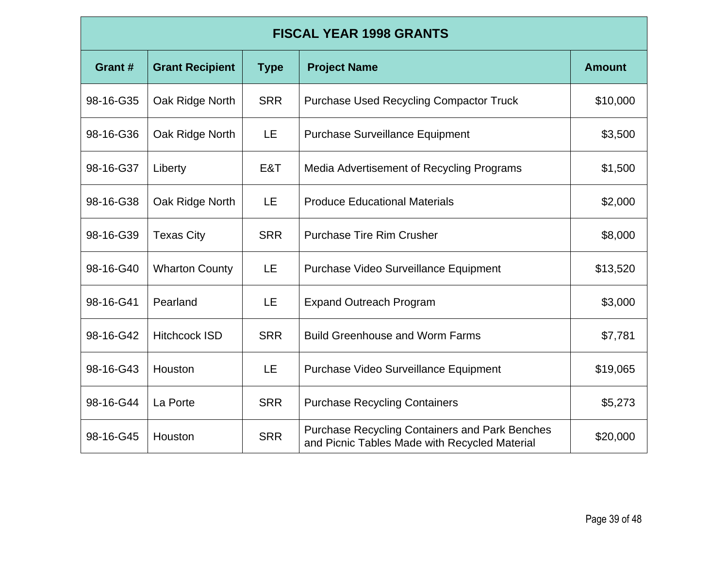| <b>FISCAL YEAR 1998 GRANTS</b> |                        |             |                                                                                                        |               |
|--------------------------------|------------------------|-------------|--------------------------------------------------------------------------------------------------------|---------------|
| Grant#                         | <b>Grant Recipient</b> | <b>Type</b> | <b>Project Name</b>                                                                                    | <b>Amount</b> |
| 98-16-G35                      | Oak Ridge North        | <b>SRR</b>  | <b>Purchase Used Recycling Compactor Truck</b>                                                         | \$10,000      |
| 98-16-G36                      | Oak Ridge North        | LE          | <b>Purchase Surveillance Equipment</b>                                                                 | \$3,500       |
| 98-16-G37                      | Liberty                | E&T         | Media Advertisement of Recycling Programs                                                              | \$1,500       |
| 98-16-G38                      | Oak Ridge North        | LE          | <b>Produce Educational Materials</b>                                                                   | \$2,000       |
| 98-16-G39                      | <b>Texas City</b>      | <b>SRR</b>  | <b>Purchase Tire Rim Crusher</b>                                                                       | \$8,000       |
| 98-16-G40                      | <b>Wharton County</b>  | LE          | Purchase Video Surveillance Equipment                                                                  | \$13,520      |
| 98-16-G41                      | Pearland               | LE          | <b>Expand Outreach Program</b>                                                                         | \$3,000       |
| 98-16-G42                      | <b>Hitchcock ISD</b>   | <b>SRR</b>  | <b>Build Greenhouse and Worm Farms</b>                                                                 | \$7,781       |
| 98-16-G43                      | Houston                | LE          | Purchase Video Surveillance Equipment                                                                  | \$19,065      |
| 98-16-G44                      | La Porte               | <b>SRR</b>  | <b>Purchase Recycling Containers</b>                                                                   | \$5,273       |
| 98-16-G45                      | Houston                | <b>SRR</b>  | <b>Purchase Recycling Containers and Park Benches</b><br>and Picnic Tables Made with Recycled Material | \$20,000      |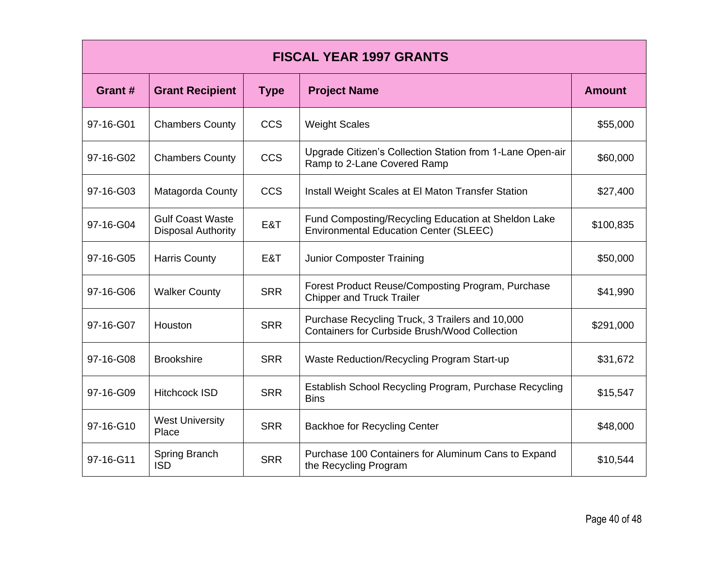| <b>FISCAL YEAR 1997 GRANTS</b> |                                                      |             |                                                                                                         |               |
|--------------------------------|------------------------------------------------------|-------------|---------------------------------------------------------------------------------------------------------|---------------|
| Grant #                        | <b>Grant Recipient</b>                               | <b>Type</b> | <b>Project Name</b>                                                                                     | <b>Amount</b> |
| 97-16-G01                      | <b>Chambers County</b>                               | <b>CCS</b>  | <b>Weight Scales</b>                                                                                    | \$55,000      |
| 97-16-G02                      | <b>Chambers County</b>                               | <b>CCS</b>  | Upgrade Citizen's Collection Station from 1-Lane Open-air<br>Ramp to 2-Lane Covered Ramp                | \$60,000      |
| 97-16-G03                      | Matagorda County                                     | <b>CCS</b>  | Install Weight Scales at El Maton Transfer Station                                                      | \$27,400      |
| 97-16-G04                      | <b>Gulf Coast Waste</b><br><b>Disposal Authority</b> | E&T         | Fund Composting/Recycling Education at Sheldon Lake<br><b>Environmental Education Center (SLEEC)</b>    | \$100,835     |
| 97-16-G05                      | <b>Harris County</b>                                 | E&T         | <b>Junior Composter Training</b>                                                                        | \$50,000      |
| 97-16-G06                      | <b>Walker County</b>                                 | <b>SRR</b>  | Forest Product Reuse/Composting Program, Purchase<br><b>Chipper and Truck Trailer</b>                   | \$41,990      |
| 97-16-G07                      | Houston                                              | <b>SRR</b>  | Purchase Recycling Truck, 3 Trailers and 10,000<br><b>Containers for Curbside Brush/Wood Collection</b> | \$291,000     |
| 97-16-G08                      | <b>Brookshire</b>                                    | <b>SRR</b>  | Waste Reduction/Recycling Program Start-up                                                              | \$31,672      |
| 97-16-G09                      | <b>Hitchcock ISD</b>                                 | <b>SRR</b>  | Establish School Recycling Program, Purchase Recycling<br><b>Bins</b>                                   | \$15,547      |
| 97-16-G10                      | <b>West University</b><br>Place                      | <b>SRR</b>  | <b>Backhoe for Recycling Center</b>                                                                     | \$48,000      |
| 97-16-G11                      | Spring Branch<br><b>ISD</b>                          | <b>SRR</b>  | Purchase 100 Containers for Aluminum Cans to Expand<br>the Recycling Program                            | \$10,544      |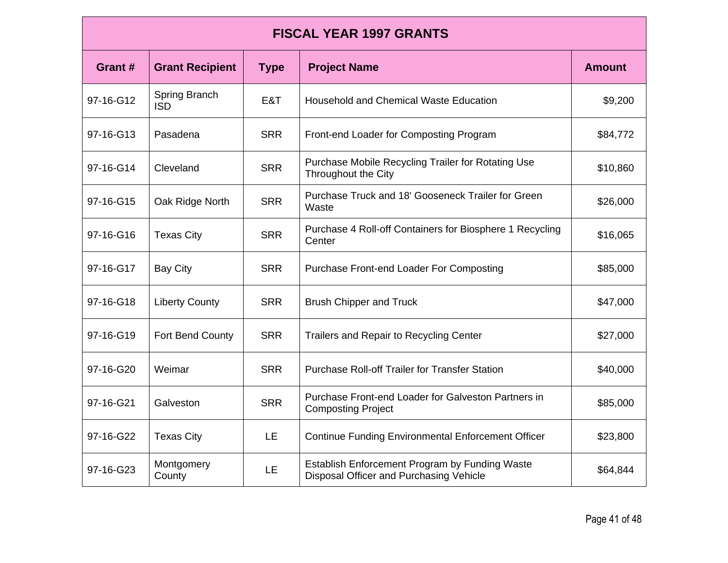| <b>FISCAL YEAR 1997 GRANTS</b> |                             |             |                                                                                           |               |  |
|--------------------------------|-----------------------------|-------------|-------------------------------------------------------------------------------------------|---------------|--|
| Grant #                        | <b>Grant Recipient</b>      | <b>Type</b> | <b>Project Name</b>                                                                       | <b>Amount</b> |  |
| 97-16-G12                      | Spring Branch<br><b>ISD</b> | E&T         | <b>Household and Chemical Waste Education</b>                                             | \$9,200       |  |
| 97-16-G13                      | Pasadena                    | <b>SRR</b>  | Front-end Loader for Composting Program                                                   | \$84,772      |  |
| 97-16-G14                      | Cleveland                   | <b>SRR</b>  | Purchase Mobile Recycling Trailer for Rotating Use<br>Throughout the City                 | \$10,860      |  |
| 97-16-G15                      | Oak Ridge North             | <b>SRR</b>  | Purchase Truck and 18' Gooseneck Trailer for Green<br>Waste                               | \$26,000      |  |
| 97-16-G16                      | <b>Texas City</b>           | <b>SRR</b>  | Purchase 4 Roll-off Containers for Biosphere 1 Recycling<br>Center                        | \$16,065      |  |
| 97-16-G17                      | <b>Bay City</b>             | <b>SRR</b>  | Purchase Front-end Loader For Composting                                                  | \$85,000      |  |
| 97-16-G18                      | <b>Liberty County</b>       | <b>SRR</b>  | <b>Brush Chipper and Truck</b>                                                            | \$47,000      |  |
| 97-16-G19                      | Fort Bend County            | <b>SRR</b>  | Trailers and Repair to Recycling Center                                                   | \$27,000      |  |
| 97-16-G20                      | Weimar                      | <b>SRR</b>  | <b>Purchase Roll-off Trailer for Transfer Station</b>                                     | \$40,000      |  |
| 97-16-G21                      | Galveston                   | <b>SRR</b>  | Purchase Front-end Loader for Galveston Partners in<br><b>Composting Project</b>          | \$85,000      |  |
| 97-16-G22                      | <b>Texas City</b>           | LE          | <b>Continue Funding Environmental Enforcement Officer</b>                                 | \$23,800      |  |
| 97-16-G23                      | Montgomery<br>County        | <b>LE</b>   | Establish Enforcement Program by Funding Waste<br>Disposal Officer and Purchasing Vehicle | \$64,844      |  |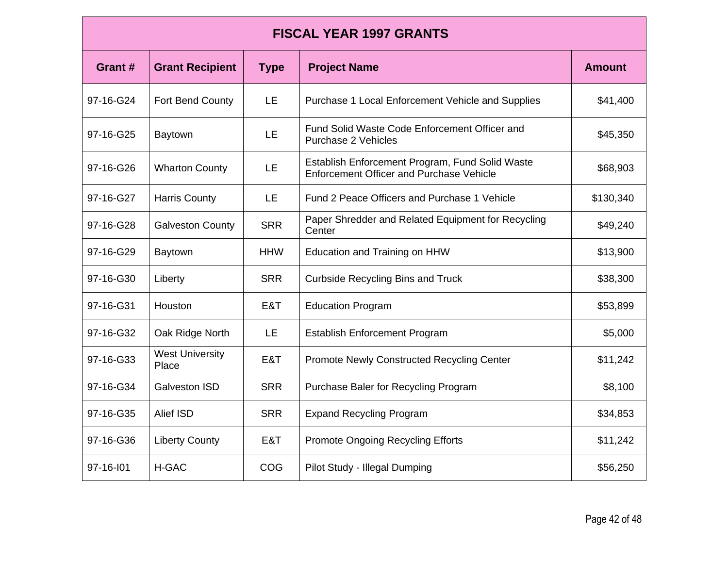| <b>FISCAL YEAR 1997 GRANTS</b> |                                 |             |                                                                                                    |               |  |
|--------------------------------|---------------------------------|-------------|----------------------------------------------------------------------------------------------------|---------------|--|
| Grant #                        | <b>Grant Recipient</b>          | <b>Type</b> | <b>Project Name</b>                                                                                | <b>Amount</b> |  |
| 97-16-G24                      | Fort Bend County                | LE          | Purchase 1 Local Enforcement Vehicle and Supplies                                                  | \$41,400      |  |
| 97-16-G25                      | Baytown                         | LE          | Fund Solid Waste Code Enforcement Officer and<br>Purchase 2 Vehicles                               | \$45,350      |  |
| 97-16-G26                      | <b>Wharton County</b>           | LE          | Establish Enforcement Program, Fund Solid Waste<br><b>Enforcement Officer and Purchase Vehicle</b> | \$68,903      |  |
| 97-16-G27                      | <b>Harris County</b>            | LE          | Fund 2 Peace Officers and Purchase 1 Vehicle                                                       | \$130,340     |  |
| 97-16-G28                      | <b>Galveston County</b>         | <b>SRR</b>  | Paper Shredder and Related Equipment for Recycling<br>Center                                       | \$49,240      |  |
| 97-16-G29                      | <b>Baytown</b>                  | <b>HHW</b>  | Education and Training on HHW                                                                      | \$13,900      |  |
| 97-16-G30                      | Liberty                         | <b>SRR</b>  | <b>Curbside Recycling Bins and Truck</b>                                                           | \$38,300      |  |
| 97-16-G31                      | Houston                         | E&T         | <b>Education Program</b>                                                                           | \$53,899      |  |
| 97-16-G32                      | Oak Ridge North                 | LE          | <b>Establish Enforcement Program</b>                                                               | \$5,000       |  |
| 97-16-G33                      | <b>West University</b><br>Place | E&T         | Promote Newly Constructed Recycling Center                                                         | \$11,242      |  |
| 97-16-G34                      | <b>Galveston ISD</b>            | <b>SRR</b>  | Purchase Baler for Recycling Program                                                               | \$8,100       |  |
| 97-16-G35                      | Alief ISD                       | <b>SRR</b>  | <b>Expand Recycling Program</b>                                                                    | \$34,853      |  |
| 97-16-G36                      | <b>Liberty County</b>           | E&T         | <b>Promote Ongoing Recycling Efforts</b>                                                           | \$11,242      |  |
| 97-16-101                      | <b>H-GAC</b>                    | <b>COG</b>  | Pilot Study - Illegal Dumping                                                                      | \$56,250      |  |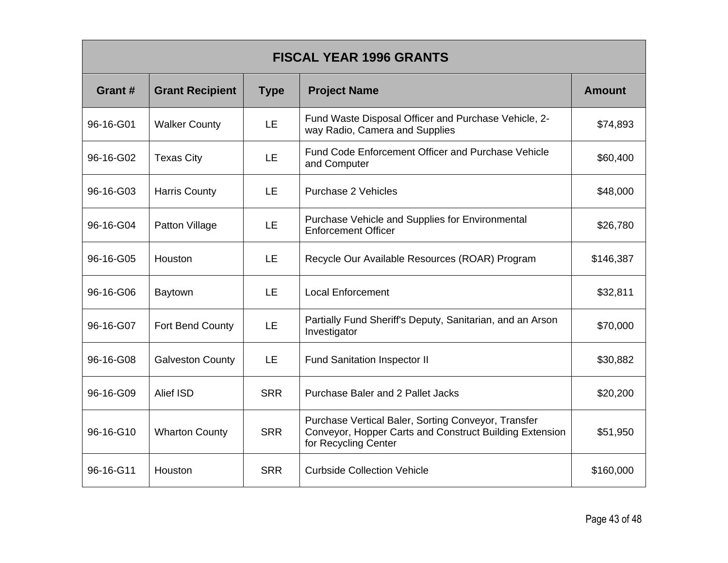| <b>FISCAL YEAR 1996 GRANTS</b> |                         |             |                                                                                                                                        |               |
|--------------------------------|-------------------------|-------------|----------------------------------------------------------------------------------------------------------------------------------------|---------------|
| Grant #                        | <b>Grant Recipient</b>  | <b>Type</b> | <b>Project Name</b>                                                                                                                    | <b>Amount</b> |
| 96-16-G01                      | <b>Walker County</b>    | LE.         | Fund Waste Disposal Officer and Purchase Vehicle, 2-<br>way Radio, Camera and Supplies                                                 | \$74,893      |
| 96-16-G02                      | <b>Texas City</b>       | <b>LE</b>   | <b>Fund Code Enforcement Officer and Purchase Vehicle</b><br>and Computer                                                              | \$60,400      |
| 96-16-G03                      | <b>Harris County</b>    | <b>LE</b>   | <b>Purchase 2 Vehicles</b>                                                                                                             | \$48,000      |
| 96-16-G04                      | Patton Village          | <b>LE</b>   | Purchase Vehicle and Supplies for Environmental<br><b>Enforcement Officer</b>                                                          | \$26,780      |
| 96-16-G05                      | Houston                 | LE.         | Recycle Our Available Resources (ROAR) Program                                                                                         | \$146,387     |
| 96-16-G06                      | Baytown                 | LE.         | <b>Local Enforcement</b>                                                                                                               | \$32,811      |
| 96-16-G07                      | Fort Bend County        | LE          | Partially Fund Sheriff's Deputy, Sanitarian, and an Arson<br>Investigator                                                              | \$70,000      |
| 96-16-G08                      | <b>Galveston County</b> | LE.         | <b>Fund Sanitation Inspector II</b>                                                                                                    | \$30,882      |
| 96-16-G09                      | Alief ISD               | <b>SRR</b>  | Purchase Baler and 2 Pallet Jacks                                                                                                      | \$20,200      |
| 96-16-G10                      | <b>Wharton County</b>   | <b>SRR</b>  | Purchase Vertical Baler, Sorting Conveyor, Transfer<br>Conveyor, Hopper Carts and Construct Building Extension<br>for Recycling Center | \$51,950      |
| 96-16-G11                      | Houston                 | <b>SRR</b>  | <b>Curbside Collection Vehicle</b>                                                                                                     | \$160,000     |

г

Ξ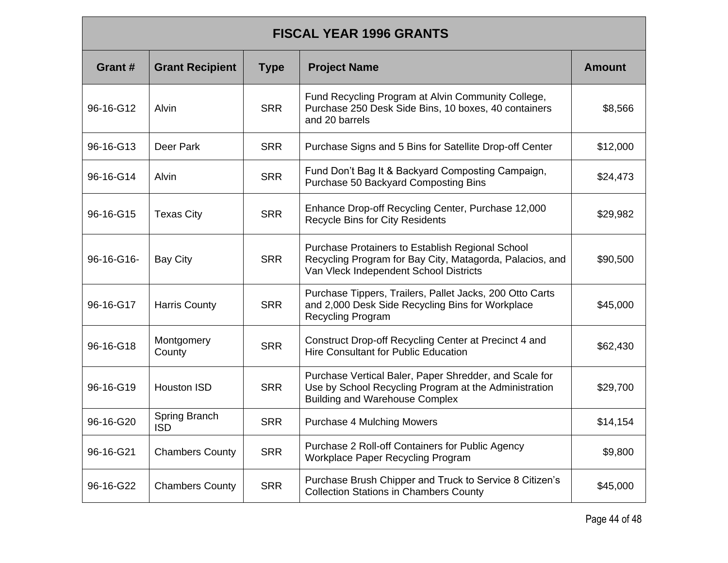### **FISCAL YEAR 1996 GRANTS**

| Grant#     | <b>Grant Recipient</b>      | <b>Type</b> | <b>Project Name</b>                                                                                                                                      | <b>Amount</b> |
|------------|-----------------------------|-------------|----------------------------------------------------------------------------------------------------------------------------------------------------------|---------------|
| 96-16-G12  | <b>Alvin</b>                | <b>SRR</b>  | Fund Recycling Program at Alvin Community College,<br>Purchase 250 Desk Side Bins, 10 boxes, 40 containers<br>and 20 barrels                             | \$8,566       |
| 96-16-G13  | Deer Park                   | <b>SRR</b>  | Purchase Signs and 5 Bins for Satellite Drop-off Center                                                                                                  | \$12,000      |
| 96-16-G14  | Alvin                       | <b>SRR</b>  | Fund Don't Bag It & Backyard Composting Campaign,<br>Purchase 50 Backyard Composting Bins                                                                | \$24,473      |
| 96-16-G15  | <b>Texas City</b>           | <b>SRR</b>  | Enhance Drop-off Recycling Center, Purchase 12,000<br><b>Recycle Bins for City Residents</b>                                                             | \$29,982      |
| 96-16-G16- | <b>Bay City</b>             | <b>SRR</b>  | Purchase Protainers to Establish Regional School<br>Recycling Program for Bay City, Matagorda, Palacios, and<br>Van Vleck Independent School Districts   | \$90,500      |
| 96-16-G17  | <b>Harris County</b>        | <b>SRR</b>  | Purchase Tippers, Trailers, Pallet Jacks, 200 Otto Carts<br>and 2,000 Desk Side Recycling Bins for Workplace<br>Recycling Program                        | \$45,000      |
| 96-16-G18  | Montgomery<br>County        | <b>SRR</b>  | Construct Drop-off Recycling Center at Precinct 4 and<br>Hire Consultant for Public Education                                                            | \$62,430      |
| 96-16-G19  | <b>Houston ISD</b>          | <b>SRR</b>  | Purchase Vertical Baler, Paper Shredder, and Scale for<br>Use by School Recycling Program at the Administration<br><b>Building and Warehouse Complex</b> | \$29,700      |
| 96-16-G20  | Spring Branch<br><b>ISD</b> | <b>SRR</b>  | <b>Purchase 4 Mulching Mowers</b>                                                                                                                        | \$14,154      |
| 96-16-G21  | <b>Chambers County</b>      | <b>SRR</b>  | Purchase 2 Roll-off Containers for Public Agency<br>Workplace Paper Recycling Program                                                                    | \$9,800       |
| 96-16-G22  | <b>Chambers County</b>      | <b>SRR</b>  | Purchase Brush Chipper and Truck to Service 8 Citizen's<br><b>Collection Stations in Chambers County</b>                                                 | \$45,000      |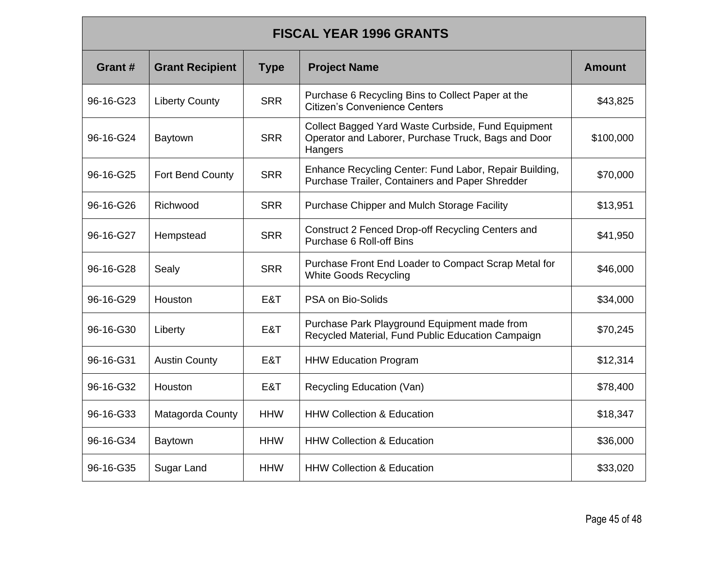#### **FISCAL YEAR 1996 GRANTS**

| Grant#    | <b>Grant Recipient</b> | <b>Type</b> | <b>Project Name</b>                                                                                                  | Amount    |
|-----------|------------------------|-------------|----------------------------------------------------------------------------------------------------------------------|-----------|
| 96-16-G23 | <b>Liberty County</b>  | <b>SRR</b>  | Purchase 6 Recycling Bins to Collect Paper at the<br><b>Citizen's Convenience Centers</b>                            | \$43,825  |
| 96-16-G24 | Baytown                | <b>SRR</b>  | Collect Bagged Yard Waste Curbside, Fund Equipment<br>Operator and Laborer, Purchase Truck, Bags and Door<br>Hangers | \$100,000 |
| 96-16-G25 | Fort Bend County       | <b>SRR</b>  | Enhance Recycling Center: Fund Labor, Repair Building,<br>Purchase Trailer, Containers and Paper Shredder            | \$70,000  |
| 96-16-G26 | Richwood               | <b>SRR</b>  | Purchase Chipper and Mulch Storage Facility                                                                          | \$13,951  |
| 96-16-G27 | Hempstead              | <b>SRR</b>  | Construct 2 Fenced Drop-off Recycling Centers and<br><b>Purchase 6 Roll-off Bins</b>                                 | \$41,950  |
| 96-16-G28 | Sealy                  | <b>SRR</b>  | Purchase Front End Loader to Compact Scrap Metal for<br><b>White Goods Recycling</b>                                 | \$46,000  |
| 96-16-G29 | Houston                | E&T         | PSA on Bio-Solids                                                                                                    | \$34,000  |
| 96-16-G30 | Liberty                | E&T         | Purchase Park Playground Equipment made from<br>Recycled Material, Fund Public Education Campaign                    | \$70,245  |
| 96-16-G31 | <b>Austin County</b>   | E&T         | <b>HHW Education Program</b>                                                                                         | \$12,314  |
| 96-16-G32 | Houston                | E&T         | Recycling Education (Van)                                                                                            | \$78,400  |
| 96-16-G33 | Matagorda County       | <b>HHW</b>  | <b>HHW Collection &amp; Education</b>                                                                                | \$18,347  |
| 96-16-G34 | <b>Baytown</b>         | <b>HHW</b>  | <b>HHW Collection &amp; Education</b>                                                                                | \$36,000  |
| 96-16-G35 | Sugar Land             | <b>HHW</b>  | <b>HHW Collection &amp; Education</b>                                                                                | \$33,020  |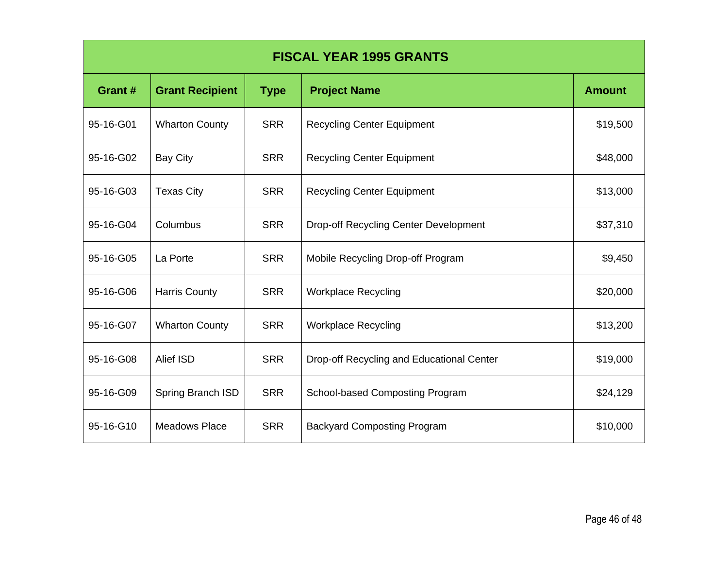| <b>FISCAL YEAR 1995 GRANTS</b> |                        |             |                                              |               |
|--------------------------------|------------------------|-------------|----------------------------------------------|---------------|
| Grant#                         | <b>Grant Recipient</b> | <b>Type</b> | <b>Project Name</b>                          | <b>Amount</b> |
| 95-16-G01                      | <b>Wharton County</b>  | <b>SRR</b>  | <b>Recycling Center Equipment</b>            | \$19,500      |
| 95-16-G02                      | <b>Bay City</b>        | <b>SRR</b>  | <b>Recycling Center Equipment</b>            | \$48,000      |
| 95-16-G03                      | <b>Texas City</b>      | <b>SRR</b>  | <b>Recycling Center Equipment</b>            | \$13,000      |
| 95-16-G04                      | Columbus               | <b>SRR</b>  | <b>Drop-off Recycling Center Development</b> | \$37,310      |
| 95-16-G05                      | La Porte               | <b>SRR</b>  | Mobile Recycling Drop-off Program            | \$9,450       |
| 95-16-G06                      | <b>Harris County</b>   | <b>SRR</b>  | <b>Workplace Recycling</b>                   | \$20,000      |
| 95-16-G07                      | <b>Wharton County</b>  | <b>SRR</b>  | <b>Workplace Recycling</b>                   | \$13,200      |
| 95-16-G08                      | Alief ISD              | <b>SRR</b>  | Drop-off Recycling and Educational Center    | \$19,000      |
| 95-16-G09                      | Spring Branch ISD      | <b>SRR</b>  | School-based Composting Program              | \$24,129      |
| 95-16-G10                      | <b>Meadows Place</b>   | <b>SRR</b>  | <b>Backyard Composting Program</b>           | \$10,000      |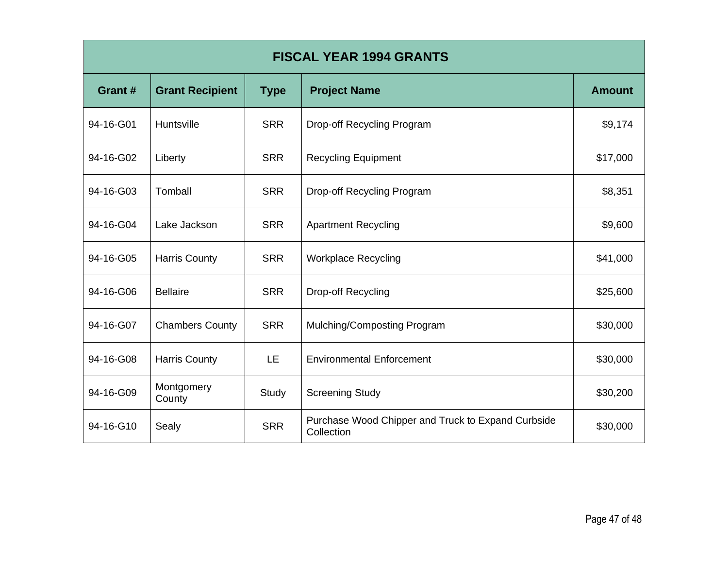| <b>FISCAL YEAR 1994 GRANTS</b> |                        |             |                                                                  |               |
|--------------------------------|------------------------|-------------|------------------------------------------------------------------|---------------|
| Grant#                         | <b>Grant Recipient</b> | <b>Type</b> | <b>Project Name</b>                                              | <b>Amount</b> |
| 94-16-G01                      | Huntsville             | <b>SRR</b>  | Drop-off Recycling Program                                       | \$9,174       |
| 94-16-G02                      | Liberty                | <b>SRR</b>  | <b>Recycling Equipment</b>                                       | \$17,000      |
| 94-16-G03                      | Tomball                | <b>SRR</b>  | Drop-off Recycling Program                                       | \$8,351       |
| 94-16-G04                      | Lake Jackson           | <b>SRR</b>  | <b>Apartment Recycling</b>                                       | \$9,600       |
| 94-16-G05                      | <b>Harris County</b>   | <b>SRR</b>  | <b>Workplace Recycling</b>                                       | \$41,000      |
| 94-16-G06                      | <b>Bellaire</b>        | <b>SRR</b>  | Drop-off Recycling                                               | \$25,600      |
| 94-16-G07                      | <b>Chambers County</b> | <b>SRR</b>  | Mulching/Composting Program                                      | \$30,000      |
| 94-16-G08                      | <b>Harris County</b>   | <b>LE</b>   | <b>Environmental Enforcement</b>                                 | \$30,000      |
| 94-16-G09                      | Montgomery<br>County   | Study       | <b>Screening Study</b>                                           | \$30,200      |
| 94-16-G10                      | Sealy                  | <b>SRR</b>  | Purchase Wood Chipper and Truck to Expand Curbside<br>Collection | \$30,000      |